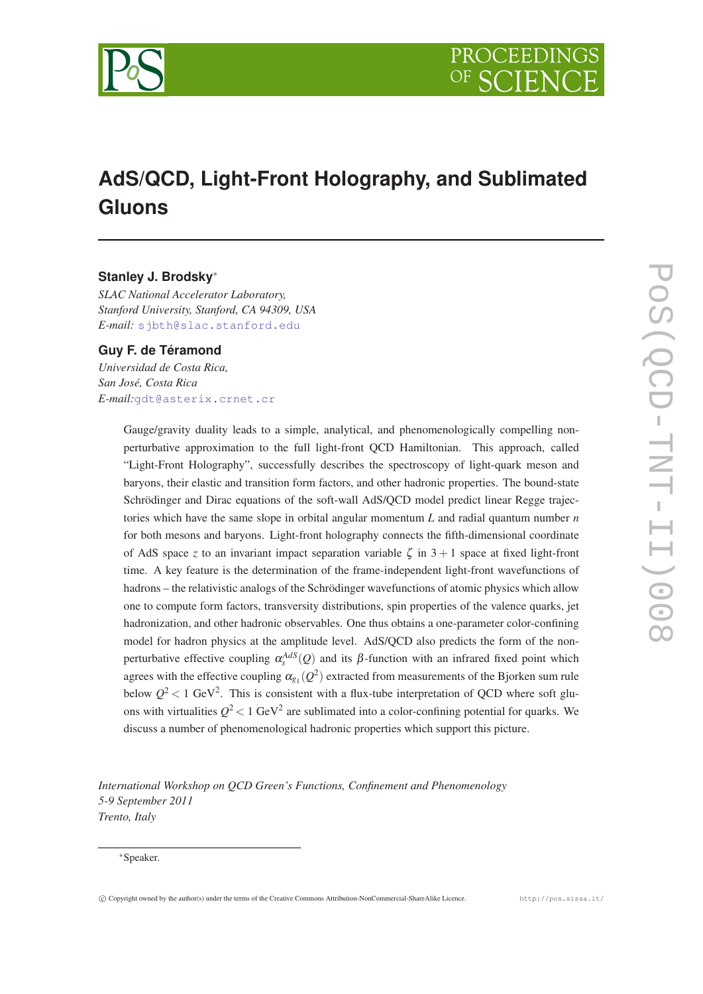

# **AdS/QCD, Light-Front Holography, and Sublimated Gluons**

# **Stanley J. Brodsky**<sup>∗</sup>

*SLAC National Accelerator Laboratory, Stanford University, Stanford, CA 94309, USA E-mail:* [sjbth@slac.stanford.edu](mailto:sjbth@slac.stanford.edu)

# **Guy F. de Téramond**

*Universidad de Costa Rica, San José, Costa Rica E-mail:*[gdt@asterix.crnet.cr](mailto:gdt@asterix.crnet.cr)

> Gauge/gravity duality leads to a simple, analytical, and phenomenologically compelling nonperturbative approximation to the full light-front QCD Hamiltonian. This approach, called "Light-Front Holography", successfully describes the spectroscopy of light-quark meson and baryons, their elastic and transition form factors, and other hadronic properties. The bound-state Schrödinger and Dirac equations of the soft-wall AdS/QCD model predict linear Regge trajectories which have the same slope in orbital angular momentum *L* and radial quantum number *n* for both mesons and baryons. Light-front holography connects the fifth-dimensional coordinate of AdS space *z* to an invariant impact separation variable  $\zeta$  in 3 + 1 space at fixed light-front time. A key feature is the determination of the frame-independent light-front wavefunctions of hadrons – the relativistic analogs of the Schrödinger wavefunctions of atomic physics which allow one to compute form factors, transversity distributions, spin properties of the valence quarks, jet hadronization, and other hadronic observables. One thus obtains a one-parameter color-confining model for hadron physics at the amplitude level. AdS/QCD also predicts the form of the nonperturbative effective coupling  $\alpha_s^{AdS}(Q)$  and its  $\beta$ -function with an infrared fixed point which agrees with the effective coupling  $\alpha_{g_1}(Q^2)$  extracted from measurements of the Bjorken sum rule below  $Q^2$  < 1 GeV<sup>2</sup>. This is consistent with a flux-tube interpretation of QCD where soft gluons with virtualities  $Q^2$  < 1 GeV<sup>2</sup> are sublimated into a color-confining potential for quarks. We discuss a number of phenomenological hadronic properties which support this picture.

*International Workshop on QCD Green's Functions, Confinement and Phenomenology 5-9 September 2011 Trento, Italy*

#### <sup>∗</sup>Speaker.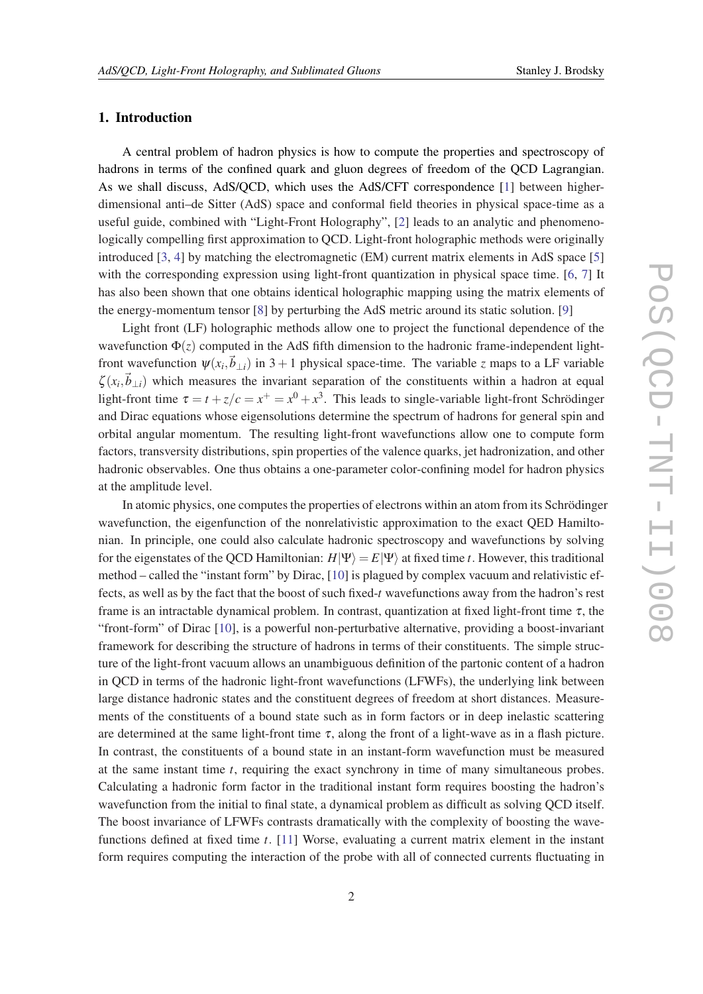# 1. Introduction

A central problem of hadron physics is how to compute the properties and spectroscopy of hadrons in terms of the confined quark and gluon degrees of freedom of the QCD Lagrangian. As we shall discuss, AdS/QCD, which uses the AdS/CFT correspondence [[1](#page-23-0)] between higherdimensional anti–de Sitter (AdS) space and conformal field theories in physical space-time as a useful guide, combined with "Light-Front Holography", [[2](#page-23-0)] leads to an analytic and phenomenologically compelling first approximation to QCD. Light-front holographic methods were originally introduced [\[3,](#page-23-0) [4\]](#page-23-0) by matching the electromagnetic (EM) current matrix elements in AdS space [[5](#page-23-0)] with the corresponding expression using light-front quantization in physical space time. [[6](#page-23-0), [7](#page-23-0)] It has also been shown that one obtains identical holographic mapping using the matrix elements of the energy-momentum tensor [[8](#page-23-0)] by perturbing the AdS metric around its static solution. [\[9\]](#page-23-0)

Light front (LF) holographic methods allow one to project the functional dependence of the wavefunction  $\Phi(z)$  computed in the AdS fifth dimension to the hadronic frame-independent lightfront wavefunction  $\psi(x_i, \vec{b}_{\perp i})$  in 3 + 1 physical space-time. The variable *z* maps to a LF variable  $\zeta(x_i, \vec{b}_{\perp i})$  which measures the invariant separation of the constituents within a hadron at equal light-front time  $\tau = t + z/c = x^+ = x^0 + x^3$ . This leads to single-variable light-front Schrödinger and Dirac equations whose eigensolutions determine the spectrum of hadrons for general spin and orbital angular momentum. The resulting light-front wavefunctions allow one to compute form factors, transversity distributions, spin properties of the valence quarks, jet hadronization, and other hadronic observables. One thus obtains a one-parameter color-confining model for hadron physics at the amplitude level.

In atomic physics, one computes the properties of electrons within an atom from its Schrödinger wavefunction, the eigenfunction of the nonrelativistic approximation to the exact QED Hamiltonian. In principle, one could also calculate hadronic spectroscopy and wavefunctions by solving for the eigenstates of the QCD Hamiltonian:  $H|\Psi\rangle = E|\Psi\rangle$  at fixed time *t*. However, this traditional method – called the "instant form" by Dirac, [[10\]](#page-23-0) is plagued by complex vacuum and relativistic effects, as well as by the fact that the boost of such fixed-*t* wavefunctions away from the hadron's rest frame is an intractable dynamical problem. In contrast, quantization at fixed light-front time  $\tau$ , the "front-form" of Dirac [\[10](#page-23-0)], is a powerful non-perturbative alternative, providing a boost-invariant framework for describing the structure of hadrons in terms of their constituents. The simple structure of the light-front vacuum allows an unambiguous definition of the partonic content of a hadron in QCD in terms of the hadronic light-front wavefunctions (LFWFs), the underlying link between large distance hadronic states and the constituent degrees of freedom at short distances. Measurements of the constituents of a bound state such as in form factors or in deep inelastic scattering are determined at the same light-front time  $\tau$ , along the front of a light-wave as in a flash picture. In contrast, the constituents of a bound state in an instant-form wavefunction must be measured at the same instant time *t*, requiring the exact synchrony in time of many simultaneous probes. Calculating a hadronic form factor in the traditional instant form requires boosting the hadron's wavefunction from the initial to final state, a dynamical problem as difficult as solving QCD itself. The boost invariance of LFWFs contrasts dramatically with the complexity of boosting the wavefunctions defined at fixed time *t*. [[11\]](#page-23-0) Worse, evaluating a current matrix element in the instant form requires computing the interaction of the probe with all of connected currents fluctuating in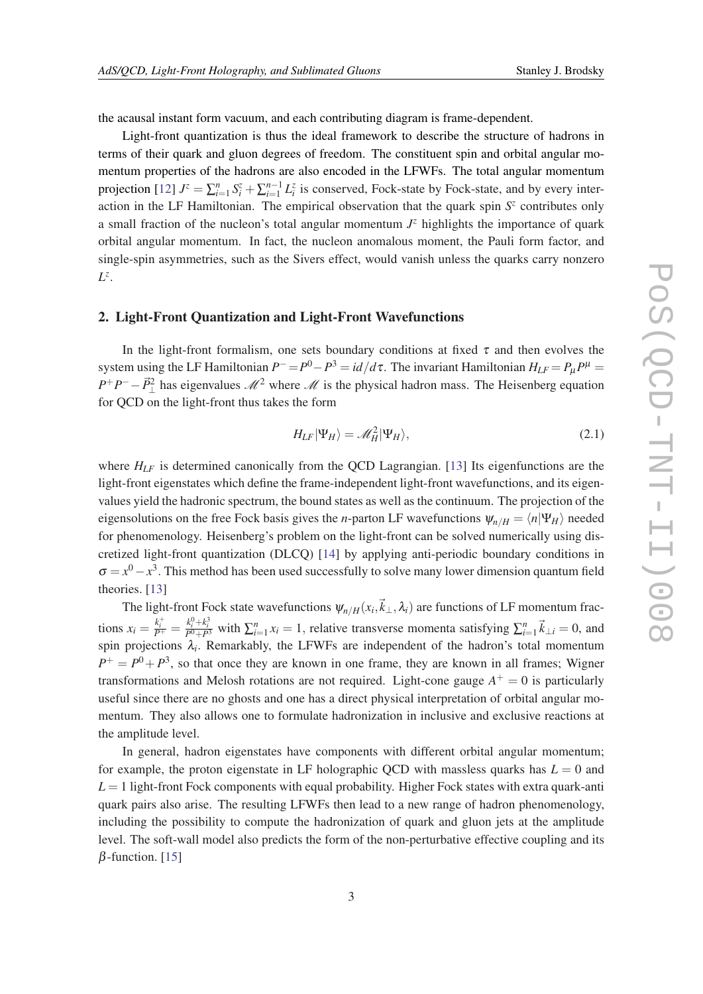<span id="page-2-0"></span>the acausal instant form vacuum, and each contributing diagram is frame-dependent.

Light-front quantization is thus the ideal framework to describe the structure of hadrons in terms of their quark and gluon degrees of freedom. The constituent spin and orbital angular momentum properties of the hadrons are also encoded in the LFWFs. The total angular momentum projection [\[12](#page-23-0)]  $J^z = \sum_{i=1}^n S_i^z + \sum_{i=1}^{n-1} L_i^z$  is conserved, Fock-state by Fock-state, and by every interaction in the LF Hamiltonian. The empirical observation that the quark spin  $S<sup>z</sup>$  contributes only a small fraction of the nucleon's total angular momentum  $J^z$  highlights the importance of quark orbital angular momentum. In fact, the nucleon anomalous moment, the Pauli form factor, and single-spin asymmetries, such as the Sivers effect, would vanish unless the quarks carry nonzero *L z* .

### 2. Light-Front Quantization and Light-Front Wavefunctions

In the light-front formalism, one sets boundary conditions at fixed  $\tau$  and then evolves the system using the LF Hamiltonian  $P^- = P^0 - P^3 = id/d\tau$ . The invariant Hamiltonian  $H_{LF} = P_{\mu}P^{\mu} =$  $P^+P^-\!\!-\!\vec{P}^2_\perp$  has eigenvalues  $\mathcal{M}^2$  where  $\mathcal M$  is the physical hadron mass. The Heisenberg equation for QCD on the light-front thus takes the form

$$
H_{LF}|\Psi_H\rangle = \mathcal{M}_H^2|\Psi_H\rangle, \qquad (2.1)
$$

where  $H_{LF}$  is determined canonically from the QCD Lagrangian. [\[13\]](#page-23-0) Its eigenfunctions are the light-front eigenstates which define the frame-independent light-front wavefunctions, and its eigenvalues yield the hadronic spectrum, the bound states as well as the continuum. The projection of the eigensolutions on the free Fock basis gives the *n*-parton LF wavefunctions  $\psi_{n/H} = \langle n|\Psi_H\rangle$  needed for phenomenology. Heisenberg's problem on the light-front can be solved numerically using discretized light-front quantization (DLCQ) [\[14](#page-23-0)] by applying anti-periodic boundary conditions in  $\sigma = x^0 - x^3$ . This method has been used successfully to solve many lower dimension quantum field theories. [[13\]](#page-23-0)

The light-front Fock state wavefunctions  $\psi_{n/H}(x_i, \vec{k}_\perp, \lambda_i)$  are functions of LF momentum fractions  $x_i = \frac{k_i^+}{P^+} = \frac{k_i^0 + k_i^3}{P^0 + P^3}$  with  $\sum_{i=1}^n x_i = 1$ , relative transverse momenta satisfying  $\sum_{i=1}^n \vec{k}_{\perp i} = 0$ , and spin projections  $\lambda_i$ . Remarkably, the LFWFs are independent of the hadron's total momentum  $P^+ = P^0 + P^3$ , so that once they are known in one frame, they are known in all frames; Wigner transformations and Melosh rotations are not required. Light-cone gauge  $A^+ = 0$  is particularly useful since there are no ghosts and one has a direct physical interpretation of orbital angular momentum. They also allows one to formulate hadronization in inclusive and exclusive reactions at the amplitude level.

In general, hadron eigenstates have components with different orbital angular momentum; for example, the proton eigenstate in LF holographic QCD with massless quarks has  $L = 0$  and  $L = 1$  light-front Fock components with equal probability. Higher Fock states with extra quark-anti quark pairs also arise. The resulting LFWFs then lead to a new range of hadron phenomenology, including the possibility to compute the hadronization of quark and gluon jets at the amplitude level. The soft-wall model also predicts the form of the non-perturbative effective coupling and its  $\beta$ -function. [[15\]](#page-23-0)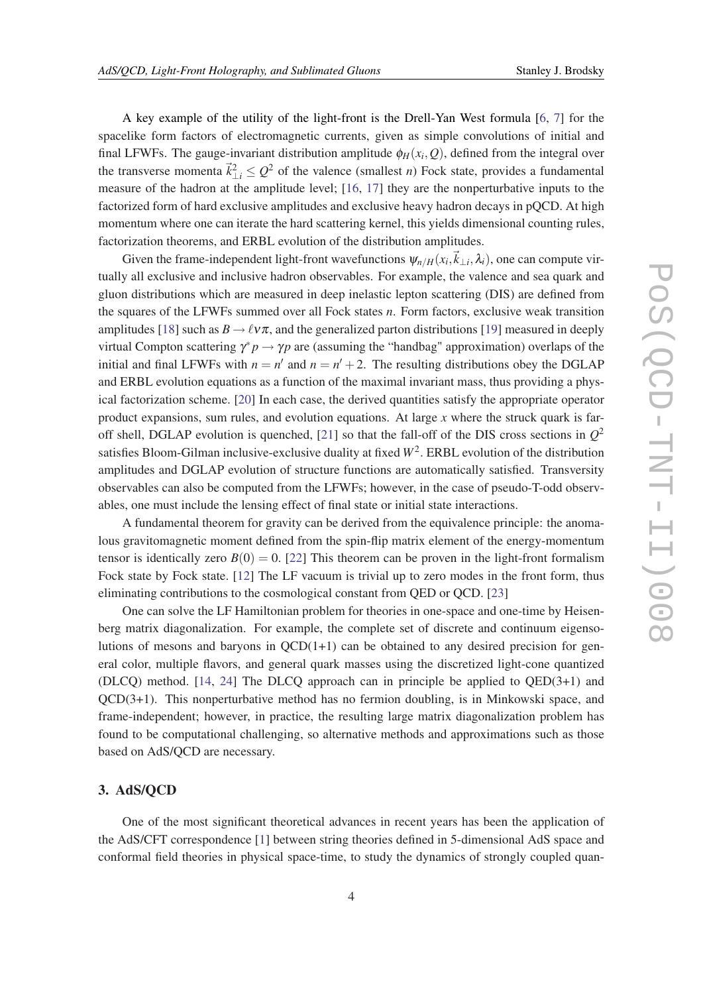A key example of the utility of the light-front is the Drell-Yan West formula [\[6](#page-23-0), [7\]](#page-23-0) for the spacelike form factors of electromagnetic currents, given as simple convolutions of initial and final LFWFs. The gauge-invariant distribution amplitude  $\phi_H(x_i, Q)$ , defined from the integral over the transverse momenta  $\vec{k}_{\perp i}^2 \leq Q^2$  of the valence (smallest *n*) Fock state, provides a fundamental measure of the hadron at the amplitude level; [\[16,](#page-23-0) [17](#page-23-0)] they are the nonperturbative inputs to the factorized form of hard exclusive amplitudes and exclusive heavy hadron decays in pQCD. At high momentum where one can iterate the hard scattering kernel, this yields dimensional counting rules, factorization theorems, and ERBL evolution of the distribution amplitudes.

Given the frame-independent light-front wavefunctions  $\psi_{n/H}(x_i, \vec{k}_{\perp i}, \lambda_i)$ , one can compute virtually all exclusive and inclusive hadron observables. For example, the valence and sea quark and gluon distributions which are measured in deep inelastic lepton scattering (DIS) are defined from the squares of the LFWFs summed over all Fock states *n*. Form factors, exclusive weak transition amplitudes [\[18](#page-23-0)] such as  $B \to \ell \nu \pi$ , and the generalized parton distributions [[19\]](#page-23-0) measured in deeply virtual Compton scattering  $\gamma^* p \to \gamma p$  are (assuming the "handbag" approximation) overlaps of the initial and final LFWFs with  $n = n'$  and  $n = n' + 2$ . The resulting distributions obey the DGLAP and ERBL evolution equations as a function of the maximal invariant mass, thus providing a physical factorization scheme. [[20\]](#page-23-0) In each case, the derived quantities satisfy the appropriate operator product expansions, sum rules, and evolution equations. At large *x* where the struck quark is far-off shell, DGLAP evolution is quenched, [\[21\]](#page-23-0) so that the fall-off of the DIS cross sections in  $Q^2$ satisfies Bloom-Gilman inclusive-exclusive duality at fixed  $W^2$ . ERBL evolution of the distribution amplitudes and DGLAP evolution of structure functions are automatically satisfied. Transversity observables can also be computed from the LFWFs; however, in the case of pseudo-T-odd observables, one must include the lensing effect of final state or initial state interactions.

A fundamental theorem for gravity can be derived from the equivalence principle: the anomalous gravitomagnetic moment defined from the spin-flip matrix element of the energy-momentum tensor is identically zero  $B(0) = 0$ . [\[22](#page-23-0)] This theorem can be proven in the light-front formalism Fock state by Fock state. [[12\]](#page-23-0) The LF vacuum is trivial up to zero modes in the front form, thus eliminating contributions to the cosmological constant from QED or QCD. [\[23](#page-23-0)]

One can solve the LF Hamiltonian problem for theories in one-space and one-time by Heisenberg matrix diagonalization. For example, the complete set of discrete and continuum eigensolutions of mesons and baryons in  $QCD(1+1)$  can be obtained to any desired precision for general color, multiple flavors, and general quark masses using the discretized light-cone quantized (DLCQ) method. [\[14](#page-23-0), [24](#page-23-0)] The DLCQ approach can in principle be applied to QED(3+1) and QCD(3+1). This nonperturbative method has no fermion doubling, is in Minkowski space, and frame-independent; however, in practice, the resulting large matrix diagonalization problem has found to be computational challenging, so alternative methods and approximations such as those based on AdS/QCD are necessary.

### 3. AdS/QCD

One of the most significant theoretical advances in recent years has been the application of the AdS/CFT correspondence [[1](#page-23-0)] between string theories defined in 5-dimensional AdS space and conformal field theories in physical space-time, to study the dynamics of strongly coupled quan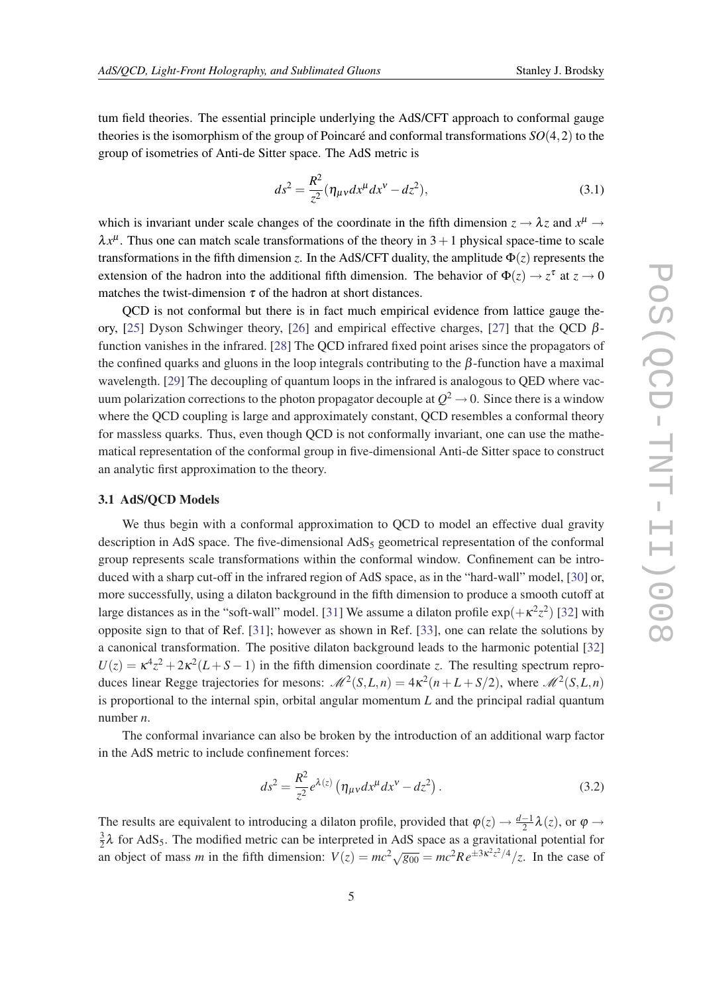tum field theories. The essential principle underlying the AdS/CFT approach to conformal gauge theories is the isomorphism of the group of Poincaré and conformal transformations *SO*(4,2) to the group of isometries of Anti-de Sitter space. The AdS metric is

$$
ds^{2} = \frac{R^{2}}{z^{2}} (\eta_{\mu\nu} dx^{\mu} dx^{\nu} - dz^{2}),
$$
\t(3.1)

which is invariant under scale changes of the coordinate in the fifth dimension  $z \to \lambda z$  and  $x^{\mu} \to$  $\lambda x^{\mu}$ . Thus one can match scale transformations of the theory in 3 + 1 physical space-time to scale transformations in the fifth dimension *z*. In the AdS/CFT duality, the amplitude  $\Phi(z)$  represents the extension of the hadron into the additional fifth dimension. The behavior of  $\Phi(z) \to z^{\tau}$  at  $z \to 0$ matches the twist-dimension  $\tau$  of the hadron at short distances.

QCD is not conformal but there is in fact much empirical evidence from lattice gauge the-ory, [[25\]](#page-23-0) Dyson Schwinger theory, [[26\]](#page-23-0) and empirical effective charges, [[27\]](#page-23-0) that the QCD  $\beta$ function vanishes in the infrared. [\[28](#page-24-0)] The QCD infrared fixed point arises since the propagators of the confined quarks and gluons in the loop integrals contributing to the  $\beta$ -function have a maximal wavelength. [\[29\]](#page-24-0) The decoupling of quantum loops in the infrared is analogous to QED where vacuum polarization corrections to the photon propagator decouple at  $Q^2 \rightarrow 0$ . Since there is a window where the QCD coupling is large and approximately constant, QCD resembles a conformal theory for massless quarks. Thus, even though QCD is not conformally invariant, one can use the mathematical representation of the conformal group in five-dimensional Anti-de Sitter space to construct an analytic first approximation to the theory.

### 3.1 AdS/QCD Models

We thus begin with a conformal approximation to QCD to model an effective dual gravity description in AdS space. The five-dimensional  $AdS<sub>5</sub>$  geometrical representation of the conformal group represents scale transformations within the conformal window. Confinement can be introduced with a sharp cut-off in the infrared region of AdS space, as in the "hard-wall" model, [[30](#page-24-0)] or, more successfully, using a dilaton background in the fifth dimension to produce a smooth cutoff at large distances as in the "soft-wall" model. [\[31](#page-24-0)] We assume a dilaton profile  $\exp(+\kappa^2 z^2)$  [\[32](#page-24-0)] with opposite sign to that of Ref. [\[31\]](#page-24-0); however as shown in Ref. [\[33](#page-24-0)], one can relate the solutions by a canonical transformation. The positive dilaton background leads to the harmonic potential [\[32](#page-24-0)]  $U(z) = \kappa^4 z^2 + 2\kappa^2 (L + S - 1)$  in the fifth dimension coordinate *z*. The resulting spectrum reproduces linear Regge trajectories for mesons:  $\mathcal{M}^2(S, L, n) = 4\kappa^2(n + L + S/2)$ , where  $\mathcal{M}^2(S, L, n)$ is proportional to the internal spin, orbital angular momentum *L* and the principal radial quantum number *n*.

The conformal invariance can also be broken by the introduction of an additional warp factor in the AdS metric to include confinement forces:

$$
ds^{2} = \frac{R^{2}}{z^{2}} e^{\lambda(z)} \left( \eta_{\mu\nu} dx^{\mu} dx^{\nu} - dz^{2} \right).
$$
 (3.2)

The results are equivalent to introducing a dilaton profile, provided that  $\varphi(z) \to \frac{d-1}{2}\lambda(z)$ , or  $\varphi \to$ 3  $\frac{3}{2}\lambda$  for AdS<sub>5</sub>. The modified metric can be interpreted in AdS space as a gravitational potential for an object of mass *m* in the fifth dimension:  $V(z) = mc^2 \sqrt{g_{00}} = mc^2 Re^{\pm 3\kappa^2 z^2/4}/z$ . In the case of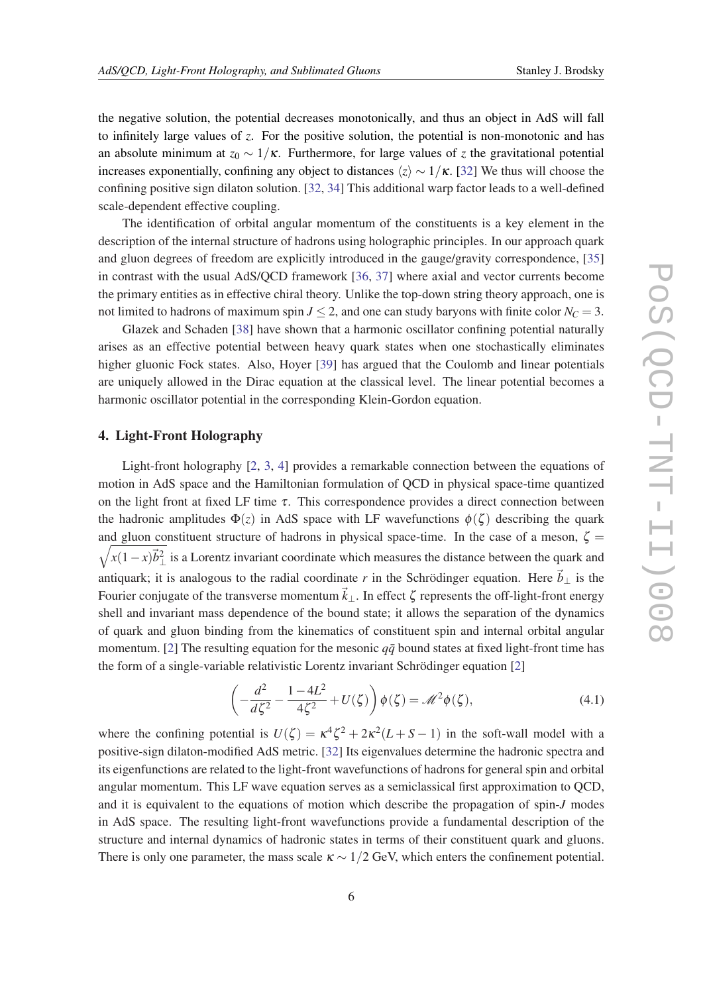<span id="page-5-0"></span>the negative solution, the potential decreases monotonically, and thus an object in AdS will fall to infinitely large values of *z*. For the positive solution, the potential is non-monotonic and has an absolute minimum at  $z_0 \sim 1/\kappa$ . Furthermore, for large values of *z* the gravitational potential increases exponentially, confining any object to distances  $\langle z \rangle \sim 1/\kappa$ . [[32\]](#page-24-0) We thus will choose the confining positive sign dilaton solution. [\[32,](#page-24-0) [34](#page-24-0)] This additional warp factor leads to a well-defined scale-dependent effective coupling.

The identification of orbital angular momentum of the constituents is a key element in the description of the internal structure of hadrons using holographic principles. In our approach quark and gluon degrees of freedom are explicitly introduced in the gauge/gravity correspondence, [\[35](#page-24-0)] in contrast with the usual AdS/QCD framework [\[36](#page-24-0), [37](#page-24-0)] where axial and vector currents become the primary entities as in effective chiral theory. Unlike the top-down string theory approach, one is not limited to hadrons of maximum spin  $J \le 2$ , and one can study baryons with finite color  $N_C = 3$ .

Glazek and Schaden [\[38](#page-24-0)] have shown that a harmonic oscillator confining potential naturally arises as an effective potential between heavy quark states when one stochastically eliminates higher gluonic Fock states. Also, Hoyer [\[39\]](#page-24-0) has argued that the Coulomb and linear potentials are uniquely allowed in the Dirac equation at the classical level. The linear potential becomes a harmonic oscillator potential in the corresponding Klein-Gordon equation.

### 4. Light-Front Holography

Light-front holography [\[2,](#page-23-0) [3](#page-23-0), [4\]](#page-23-0) provides a remarkable connection between the equations of motion in AdS space and the Hamiltonian formulation of QCD in physical space-time quantized on the light front at fixed LF time  $\tau$ . This correspondence provides a direct connection between the hadronic amplitudes  $\Phi(z)$  in AdS space with LF wavefunctions  $\phi(\zeta)$  describing the quark and gluon constituent structure of hadrons in physical space-time. In the case of a meson,  $\zeta$  =  $\sqrt{x(1-x)\vec{b}_\perp^2}$  is a Lorentz invariant coordinate which measures the distance between the quark and antiquark; it is analogous to the radial coordinate *r* in the Schrödinger equation. Here  $\vec{b}_{\perp}$  is the Fourier conjugate of the transverse momentum  $\vec{k}_{\perp}$ . In effect  $\zeta$  represents the off-light-front energy shell and invariant mass dependence of the bound state; it allows the separation of the dynamics of quark and gluon binding from the kinematics of constituent spin and internal orbital angular momentum. [[2](#page-23-0)] The resulting equation for the mesonic  $q\bar{q}$  bound states at fixed light-front time has the form of a single-variable relativistic Lorentz invariant Schrödinger equation [[2](#page-23-0)]

$$
\left(-\frac{d^2}{d\zeta^2} - \frac{1 - 4L^2}{4\zeta^2} + U(\zeta)\right)\phi(\zeta) = \mathscr{M}^2\phi(\zeta),\tag{4.1}
$$

where the confining potential is  $U(\zeta) = \kappa^4 \zeta^2 + 2\kappa^2 (L + S - 1)$  in the soft-wall model with a positive-sign dilaton-modified AdS metric. [[32\]](#page-24-0) Its eigenvalues determine the hadronic spectra and its eigenfunctions are related to the light-front wavefunctions of hadrons for general spin and orbital angular momentum. This LF wave equation serves as a semiclassical first approximation to QCD, and it is equivalent to the equations of motion which describe the propagation of spin-*J* modes in AdS space. The resulting light-front wavefunctions provide a fundamental description of the structure and internal dynamics of hadronic states in terms of their constituent quark and gluons. There is only one parameter, the mass scale  $\kappa \sim 1/2$  GeV, which enters the confinement potential.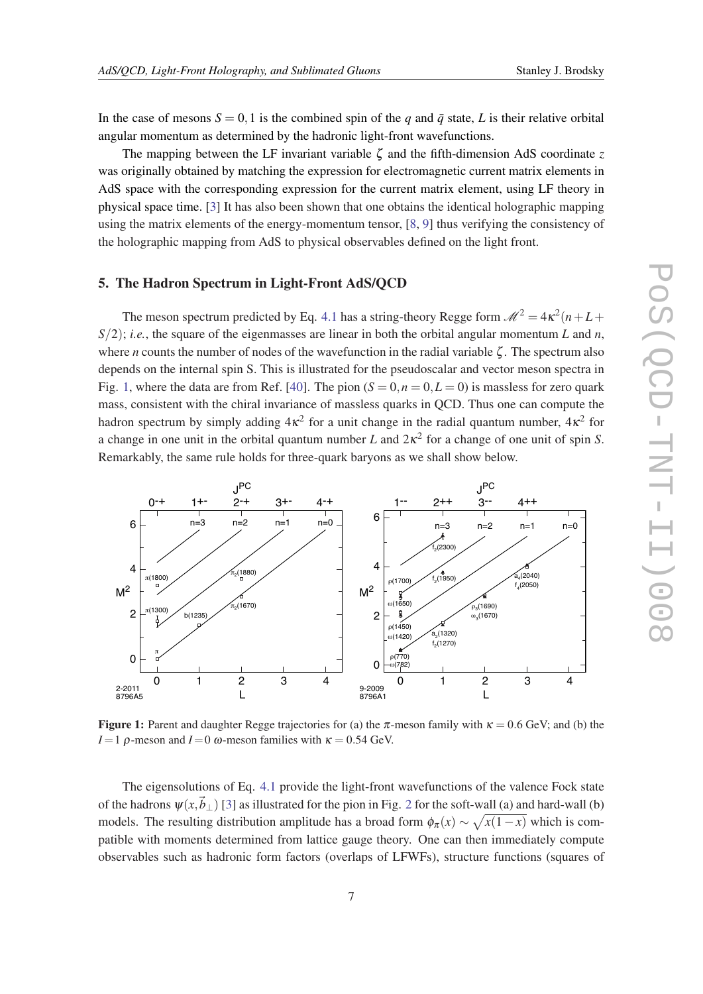<span id="page-6-0"></span>In the case of mesons  $S = 0, 1$  is the combined spin of the *q* and  $\bar{q}$  state, *L* is their relative orbital angular momentum as determined by the hadronic light-front wavefunctions.

The mapping between the LF invariant variable  $\zeta$  and the fifth-dimension AdS coordinate  $\zeta$ was originally obtained by matching the expression for electromagnetic current matrix elements in AdS space with the corresponding expression for the current matrix element, using LF theory in physical space time. [[3](#page-23-0)] It has also been shown that one obtains the identical holographic mapping using the matrix elements of the energy-momentum tensor, [\[8,](#page-23-0) [9\]](#page-23-0) thus verifying the consistency of the holographic mapping from AdS to physical observables defined on the light front.

# 5. The Hadron Spectrum in Light-Front AdS/QCD

The meson spectrum predicted by Eq. [4.1](#page-5-0) has a string-theory Regge form  $\mathcal{M}^2 = 4\kappa^2(n+L+1)$  $S(2)$ ; *i.e.*, the square of the eigenmasses are linear in both the orbital angular momentum *L* and *n*, where *n* counts the number of nodes of the wavefunction in the radial variable  $\zeta$ . The spectrum also depends on the internal spin S. This is illustrated for the pseudoscalar and vector meson spectra in Fig. 1, where the data are from Ref. [[40\]](#page-24-0). The pion  $(S = 0, n = 0, L = 0)$  is massless for zero quark mass, consistent with the chiral invariance of massless quarks in QCD. Thus one can compute the hadron spectrum by simply adding  $4\kappa^2$  for a unit change in the radial quantum number,  $4\kappa^2$  for a change in one unit in the orbital quantum number *L* and 2κ 2 for a change of one unit of spin *S*. Remarkably, the same rule holds for three-quark baryons as we shall show below.



Figure 1: Parent and daughter Regge trajectories for (a) the  $\pi$ -meson family with  $\kappa = 0.6$  GeV; and (b) the *I* = 1 ρ-meson and *I* = 0 ω-meson families with  $κ = 0.54$  GeV.

The eigensolutions of Eq. [4.1](#page-5-0) provide the light-front wavefunctions of the valence Fock state of the hadrons  $\psi(x, \vec{b}_{\perp})$  [\[3\]](#page-23-0) as illustrated for the pion in Fig. [2](#page-7-0) for the soft-wall (a) and hard-wall (b) models. The resulting distribution amplitude has a broad form  $\phi_{\pi}(x) \sim \sqrt{x(1-x)}$  which is compatible with moments determined from lattice gauge theory. One can then immediately compute observables such as hadronic form factors (overlaps of LFWFs), structure functions (squares of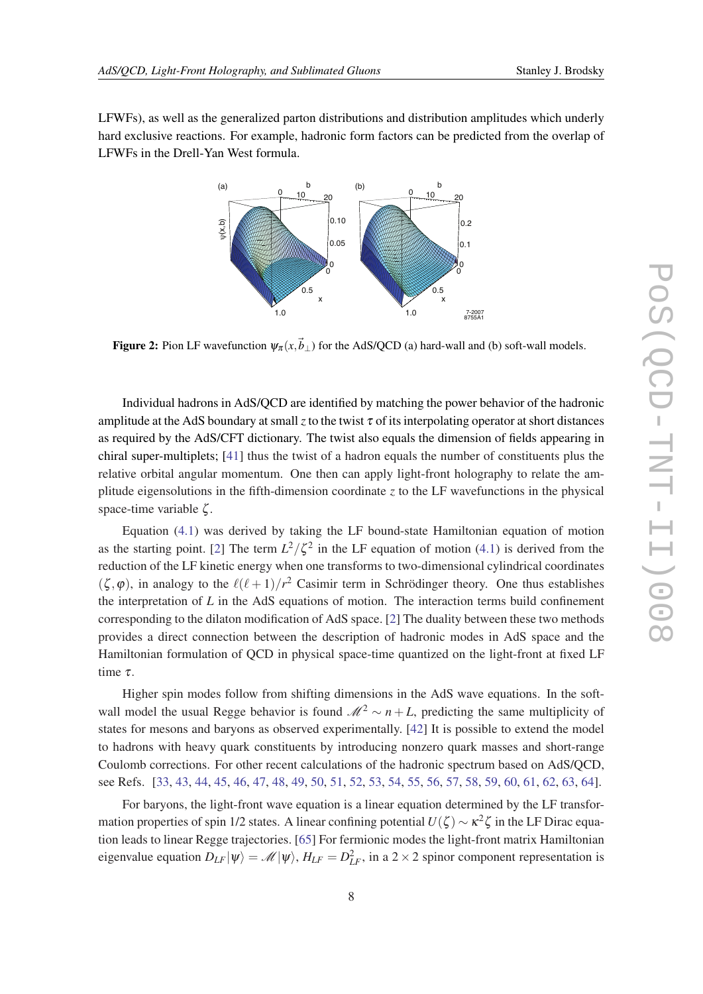<span id="page-7-0"></span>LFWFs), as well as the generalized parton distributions and distribution amplitudes which underly hard exclusive reactions. For example, hadronic form factors can be predicted from the overlap of LFWFs in the Drell-Yan West formula.



Figure 2: Pion LF wavefunction  $\psi_{\pi}(x, \vec{b}_{\perp})$  for the AdS/QCD (a) hard-wall and (b) soft-wall models.

Individual hadrons in AdS/QCD are identified by matching the power behavior of the hadronic amplitude at the AdS boundary at small *z* to the twist  $\tau$  of its interpolating operator at short distances as required by the AdS/CFT dictionary. The twist also equals the dimension of fields appearing in chiral super-multiplets; [[41\]](#page-24-0) thus the twist of a hadron equals the number of constituents plus the relative orbital angular momentum. One then can apply light-front holography to relate the amplitude eigensolutions in the fifth-dimension coordinate *z* to the LF wavefunctions in the physical space-time variable ζ .

Equation ([4.1\)](#page-5-0) was derived by taking the LF bound-state Hamiltonian equation of motion as the starting point. [[2\]](#page-23-0) The term  $L^2/\zeta^2$  in the LF equation of motion [\(4.1\)](#page-5-0) is derived from the reduction of the LF kinetic energy when one transforms to two-dimensional cylindrical coordinates  $(\zeta, \varphi)$ , in analogy to the  $\ell(\ell + 1)/r^2$  Casimir term in Schrödinger theory. One thus establishes the interpretation of *L* in the AdS equations of motion. The interaction terms build confinement corresponding to the dilaton modification of AdS space. [\[2\]](#page-23-0) The duality between these two methods provides a direct connection between the description of hadronic modes in AdS space and the Hamiltonian formulation of QCD in physical space-time quantized on the light-front at fixed LF time τ.

Higher spin modes follow from shifting dimensions in the AdS wave equations. In the softwall model the usual Regge behavior is found  $\mathcal{M}^2 \sim n + L$ , predicting the same multiplicity of states for mesons and baryons as observed experimentally. [[42\]](#page-24-0) It is possible to extend the model to hadrons with heavy quark constituents by introducing nonzero quark masses and short-range Coulomb corrections. For other recent calculations of the hadronic spectrum based on AdS/QCD, see Refs. [\[33](#page-24-0), [43,](#page-24-0) [44](#page-24-0), [45](#page-24-0), [46,](#page-24-0) [47](#page-24-0), [48,](#page-24-0) [49,](#page-24-0) [50](#page-24-0), [51,](#page-24-0) [52](#page-24-0), [53](#page-24-0), [54,](#page-24-0) [55](#page-24-0), [56](#page-25-0), [57,](#page-25-0) [58](#page-25-0), [59,](#page-25-0) [60,](#page-25-0) [61](#page-25-0), [62,](#page-25-0) [63](#page-25-0), [64](#page-25-0)].

For baryons, the light-front wave equation is a linear equation determined by the LF transformation properties of spin 1/2 states. A linear confining potential  $U(\zeta) \sim \kappa^2 \zeta$  in the LF Dirac equation leads to linear Regge trajectories. [\[65](#page-25-0)] For fermionic modes the light-front matrix Hamiltonian eigenvalue equation  $D_{LF}|\psi\rangle = \mathcal{M}|\psi\rangle$ ,  $H_{LF} = D_{LF}^2$ , in a 2 × 2 spinor component representation is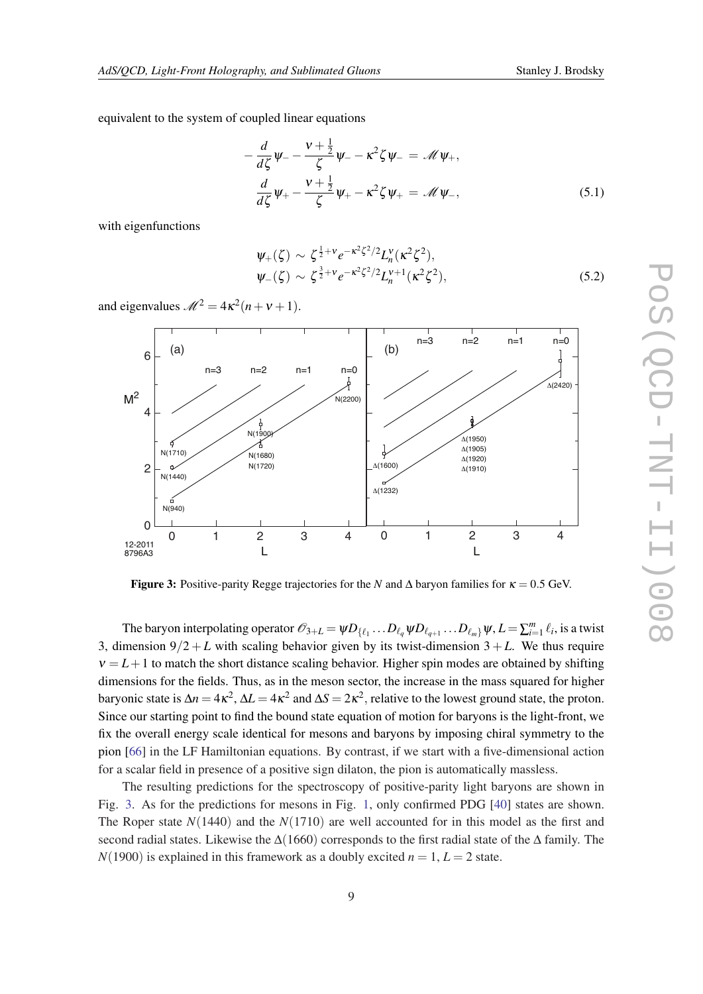equivalent to the system of coupled linear equations

$$
-\frac{d}{d\zeta}\psi_{-}-\frac{v+\frac{1}{2}}{\zeta}\psi_{-}-\kappa^{2}\zeta\psi_{-}=\mathscr{M}\psi_{+},
$$
  

$$
\frac{d}{d\zeta}\psi_{+}-\frac{v+\frac{1}{2}}{\zeta}\psi_{+}-\kappa^{2}\zeta\psi_{+}=\mathscr{M}\psi_{-},
$$
(5.1)

with eigenfunctions

$$
\Psi_{+}(\zeta) \sim \zeta^{\frac{1}{2}+\nu} e^{-\kappa^{2} \zeta^{2}/2} L_{n}^{\nu}(\kappa^{2} \zeta^{2}), \n\Psi_{-}(\zeta) \sim \zeta^{\frac{3}{2}+\nu} e^{-\kappa^{2} \zeta^{2}/2} L_{n}^{\nu+1}(\kappa^{2} \zeta^{2}),
$$
\n(5.2)

and eigenvalues  $\mathcal{M}^2 = 4\kappa^2(n+\nu+1)$ .



**Figure 3:** Positive-parity Regge trajectories for the *N* and  $\Delta$  baryon families for  $\kappa = 0.5$  GeV.

The baryon interpolating operator  $\mathscr{O}_{3+L} = \psi D_{\{\ell_1} \cdots D_{\ell_q} \psi D_{\ell_{q+1}} \cdots D_{\ell_m\}} \psi, L = \sum_{i=1}^m \ell_i$ , is a twist 3, dimension  $9/2 + L$  with scaling behavior given by its twist-dimension  $3 + L$ . We thus require  $v = L + 1$  to match the short distance scaling behavior. Higher spin modes are obtained by shifting dimensions for the fields. Thus, as in the meson sector, the increase in the mass squared for higher baryonic state is  $\Delta n = 4\kappa^2$ ,  $\Delta L = 4\kappa^2$  and  $\Delta S = 2\kappa^2$ , relative to the lowest ground state, the proton. Since our starting point to find the bound state equation of motion for baryons is the light-front, we fix the overall energy scale identical for mesons and baryons by imposing chiral symmetry to the pion [\[66](#page-25-0)] in the LF Hamiltonian equations. By contrast, if we start with a five-dimensional action for a scalar field in presence of a positive sign dilaton, the pion is automatically massless.

The resulting predictions for the spectroscopy of positive-parity light baryons are shown in Fig. 3. As for the predictions for mesons in Fig. [1,](#page-6-0) only confirmed PDG [[40](#page-24-0)] states are shown. The Roper state *N*(1440) and the *N*(1710) are well accounted for in this model as the first and second radial states. Likewise the  $\Delta(1660)$  corresponds to the first radial state of the  $\Delta$  family. The  $N(1900)$  is explained in this framework as a doubly excited  $n = 1, L = 2$  state.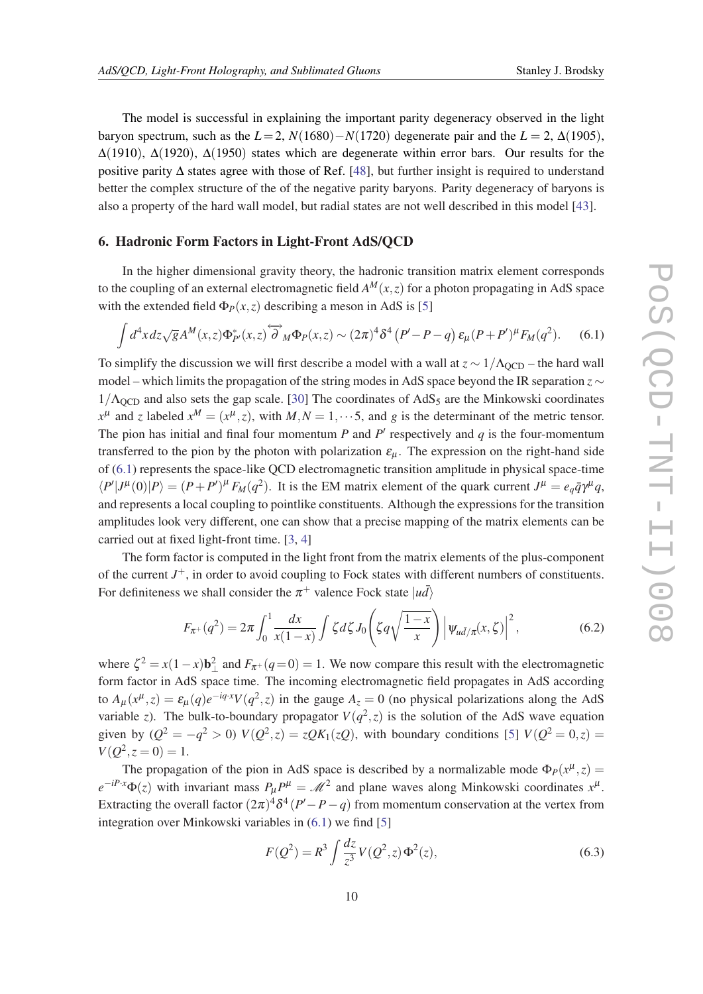<span id="page-9-0"></span>The model is successful in explaining the important parity degeneracy observed in the light baryon spectrum, such as the  $L=2$ ,  $N(1680)-N(1720)$  degenerate pair and the  $L=2$ ,  $\Delta(1905)$ ,  $\Delta(1910)$ ,  $\Delta(1920)$ ,  $\Delta(1950)$  states which are degenerate within error bars. Our results for the positive parity ∆ states agree with those of Ref. [\[48](#page-24-0)], but further insight is required to understand better the complex structure of the of the negative parity baryons. Parity degeneracy of baryons is also a property of the hard wall model, but radial states are not well described in this model [\[43](#page-24-0)].

### 6. Hadronic Form Factors in Light-Front AdS/QCD

In the higher dimensional gravity theory, the hadronic transition matrix element corresponds to the coupling of an external electromagnetic field  $A^M(x, z)$  for a photon propagating in AdS space with the extended field  $\Phi_P(x, z)$  describing a meson in AdS is [[5](#page-23-0)]

$$
\int d^4x dz \sqrt{g} A^M(x,z) \Phi_{P'}^*(x,z) \overleftrightarrow{\partial}_M \Phi_P(x,z) \sim (2\pi)^4 \delta^4 (P'-P-q) \,\varepsilon_\mu (P+P')^\mu F_M(q^2). \tag{6.1}
$$

To simplify the discussion we will first describe a model with a wall at  $z \sim 1/\Lambda_{\rm QCD}$  – the hard wall model – which limits the propagation of the string modes in AdS space beyond the IR separation *z* ∼  $1/\Lambda_{\text{QCD}}$  and also sets the gap scale. [[30\]](#page-24-0) The coordinates of AdS<sub>5</sub> are the Minkowski coordinates  $x^{\mu}$  and *z* labeled  $x^M = (x^{\mu}, z)$ , with  $M, N = 1, \dots, 5$ , and *g* is the determinant of the metric tensor. The pion has initial and final four momentum  $P$  and  $P'$  respectively and  $q$  is the four-momentum transferred to the pion by the photon with polarization  $\varepsilon_{\mu}$ . The expression on the right-hand side of (6.1) represents the space-like QCD electromagnetic transition amplitude in physical space-time  $\langle P'|J^{\mu}(0)|P\rangle = (P+P')^{\mu} F_M(q^2)$ . It is the EM matrix element of the quark current  $J^{\mu} = e_q \bar{q} \gamma^{\mu} q$ , and represents a local coupling to pointlike constituents. Although the expressions for the transition amplitudes look very different, one can show that a precise mapping of the matrix elements can be carried out at fixed light-front time. [\[3,](#page-23-0) [4](#page-23-0)]

The form factor is computed in the light front from the matrix elements of the plus-component of the current *J* <sup>+</sup>, in order to avoid coupling to Fock states with different numbers of constituents. For definiteness we shall consider the  $\pi^+$  valence Fock state  $|u\bar{d}\rangle$ 

$$
F_{\pi^+}(q^2) = 2\pi \int_0^1 \frac{dx}{x(1-x)} \int \zeta d\zeta J_0\left(\zeta q \sqrt{\frac{1-x}{x}}\right) \left|\Psi_{u\bar{d}/\pi}(x,\zeta)\right|^2, \tag{6.2}
$$

where  $\zeta^2 = x(1-x)\mathbf{b}_\perp^2$  and  $F_{\pi^+}(q=0) = 1$ . We now compare this result with the electromagnetic form factor in AdS space time. The incoming electromagnetic field propagates in AdS according to  $A_{\mu}(x^{\mu},z) = \varepsilon_{\mu}(q)e^{-iq \cdot x}V(q^2, z)$  in the gauge  $A_{z} = 0$  (no physical polarizations along the AdS variable *z*). The bulk-to-boundary propagator  $V(q^2, z)$  is the solution of the AdS wave equation given by  $(Q^2 = -q^2 > 0) V(Q^2, z) = zQK_1(zQ)$ , with boundary conditions [[5](#page-23-0)]  $V(Q^2 = 0, z) =$  $V(Q^2, z = 0) = 1.$ 

The propagation of the pion in AdS space is described by a normalizable mode  $\Phi_P(x^{\mu}, z)$  $e^{-iP\cdot x}\Phi(z)$  with invariant mass  $P_{\mu}P^{\mu} = M^2$  and plane waves along Minkowski coordinates  $x^{\mu}$ . Extracting the overall factor  $(2\pi)^4 \delta^4 (P'-P-q)$  from momentum conservation at the vertex from integration over Minkowski variables in (6.1) we find [\[5\]](#page-23-0)

$$
F(Q^2) = R^3 \int \frac{dz}{z^3} V(Q^2, z) \Phi^2(z),
$$
\n(6.3)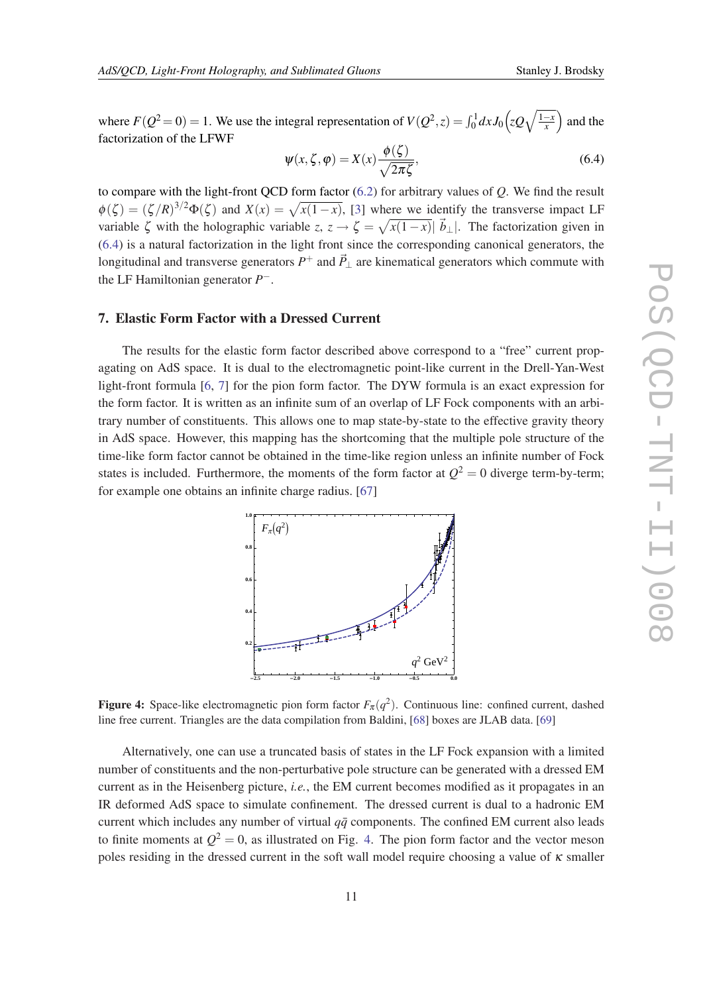where  $F(Q^2 = 0) = 1$ . We use the integral representation of  $V(Q^2, z) = \int_0^1 dx J_0 \left( z Q \sqrt{\frac{1-x}{x}} \right)$  and the factorization of the LFWF

$$
\Psi(x,\zeta,\varphi) = X(x) \frac{\phi(\zeta)}{\sqrt{2\pi\zeta}},\tag{6.4}
$$

to compare with the light-front QCD form factor [\(6.2](#page-9-0)) for arbitrary values of *Q*. We find the result  $\phi(\zeta) = (\zeta/R)^{3/2} \Phi(\zeta)$  and  $X(x) = \sqrt{x(1-x)}$ , [\[3\]](#page-23-0) where we identify the transverse impact LF variable  $\zeta$  with the holographic variable  $z, z \to \zeta = \sqrt{x(1-x)}|\vec{b}_{\perp}|$ . The factorization given in (6.4) is a natural factorization in the light front since the corresponding canonical generators, the longitudinal and transverse generators  $P^+$  and  $\vec{P}_\perp$  are kinematical generators which commute with the LF Hamiltonian generator *P* −.

### 7. Elastic Form Factor with a Dressed Current

The results for the elastic form factor described above correspond to a "free" current propagating on AdS space. It is dual to the electromagnetic point-like current in the Drell-Yan-West light-front formula [\[6,](#page-23-0) [7](#page-23-0)] for the pion form factor. The DYW formula is an exact expression for the form factor. It is written as an infinite sum of an overlap of LF Fock components with an arbitrary number of constituents. This allows one to map state-by-state to the effective gravity theory in AdS space. However, this mapping has the shortcoming that the multiple pole structure of the time-like form factor cannot be obtained in the time-like region unless an infinite number of Fock states is included. Furthermore, the moments of the form factor at  $Q^2 = 0$  diverge term-by-term; for example one obtains an infinite charge radius. [\[67\]](#page-25-0)



**Figure 4:** Space-like electromagnetic pion form factor  $F_{\pi}(q^2)$ . Continuous line: confined current, dashed line free current. Triangles are the data compilation from Baldini, [\[68](#page-25-0)] boxes are JLAB data. [[69](#page-25-0)]

Alternatively, one can use a truncated basis of states in the LF Fock expansion with a limited number of constituents and the non-perturbative pole structure can be generated with a dressed EM current as in the Heisenberg picture, *i.e.*, the EM current becomes modified as it propagates in an IR deformed AdS space to simulate confinement. The dressed current is dual to a hadronic EM current which includes any number of virtual  $q\bar{q}$  components. The confined EM current also leads to finite moments at  $Q^2 = 0$ , as illustrated on Fig. 4. The pion form factor and the vector meson poles residing in the dressed current in the soft wall model require choosing a value of  $\kappa$  smaller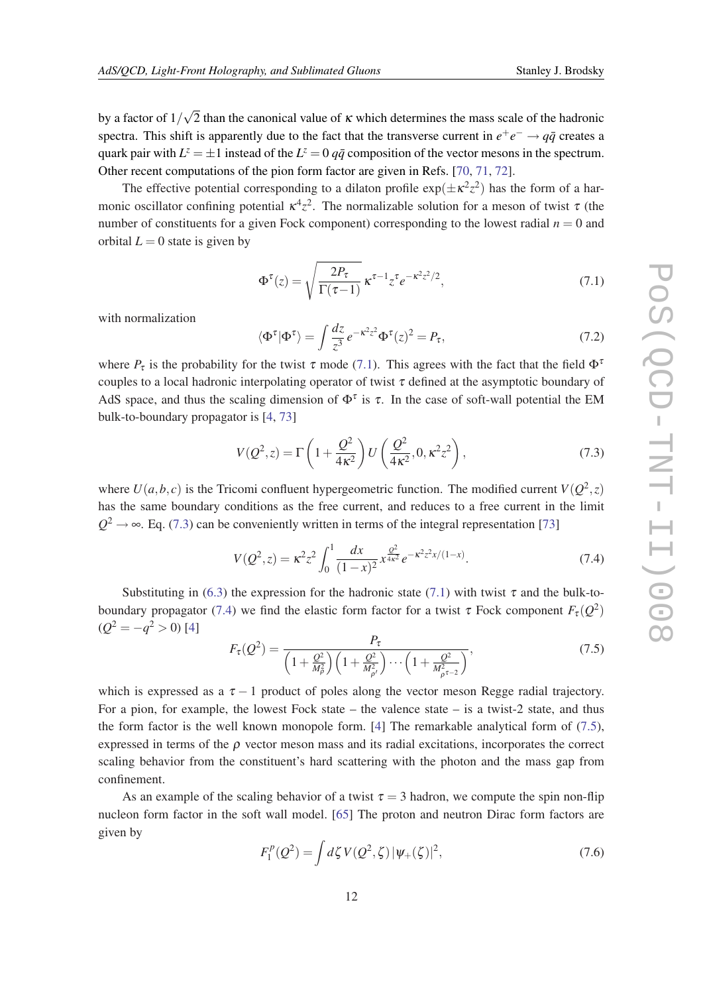<span id="page-11-0"></span>by a factor of 1/ √ 2 than the canonical value of  $\kappa$  which determines the mass scale of the hadronic spectra. This shift is apparently due to the fact that the transverse current in  $e^+e^- \rightarrow q\bar{q}$  creates a quark pair with  $L^z = \pm 1$  instead of the  $L^z = 0$   $q\bar{q}$  composition of the vector mesons in the spectrum. Other recent computations of the pion form factor are given in Refs. [[70,](#page-25-0) [71,](#page-25-0) [72](#page-25-0)].

The effective potential corresponding to a dilaton profile  $\exp(\pm \kappa^2 z^2)$  has the form of a harmonic oscillator confining potential  $\kappa^4 z^2$ . The normalizable solution for a meson of twist  $\tau$  (the number of constituents for a given Fock component) corresponding to the lowest radial  $n = 0$  and orbital  $L = 0$  state is given by

$$
\Phi^{\tau}(z) = \sqrt{\frac{2P_{\tau}}{\Gamma(\tau - 1)}} \,\kappa^{\tau - 1} z^{\tau} e^{-\kappa^2 z^2/2},\tag{7.1}
$$

with normalization

$$
\langle \Phi^{\tau} | \Phi^{\tau} \rangle = \int \frac{dz}{z^3} e^{-\kappa^2 z^2} \Phi^{\tau}(z)^2 = P_{\tau},\tag{7.2}
$$

where  $P_{\tau}$  is the probability for the twist  $\tau$  mode (7.1). This agrees with the fact that the field  $\Phi^{\tau}$ couples to a local hadronic interpolating operator of twist  $\tau$  defined at the asymptotic boundary of AdS space, and thus the scaling dimension of  $\Phi^{\tau}$  is  $\tau$ . In the case of soft-wall potential the EM bulk-to-boundary propagator is [[4](#page-23-0), [73\]](#page-25-0)

$$
V(Q^2, z) = \Gamma\left(1 + \frac{Q^2}{4\kappa^2}\right)U\left(\frac{Q^2}{4\kappa^2}, 0, \kappa^2 z^2\right),\tag{7.3}
$$

where  $U(a, b, c)$  is the Tricomi confluent hypergeometric function. The modified current  $V(Q<sup>2</sup>, z)$ has the same boundary conditions as the free current, and reduces to a free current in the limit  $Q^2 \rightarrow \infty$ . Eq. (7.3) can be conveniently written in terms of the integral representation [[73\]](#page-25-0)

$$
V(Q^2, z) = \kappa^2 z^2 \int_0^1 \frac{dx}{(1-x)^2} x^{\frac{Q^2}{4\kappa^2}} e^{-\kappa^2 z^2 x/(1-x)}.
$$
 (7.4)

Substituting in [\(6.3\)](#page-9-0) the expression for the hadronic state (7.1) with twist  $\tau$  and the bulk-toboundary propagator (7.4) we find the elastic form factor for a twist  $\tau$  Fock component  $F_{\tau}(Q^2)$  $(Q^2 = -q^2 > 0)$  [[4](#page-23-0)]

$$
F_{\tau}(Q^2) = \frac{P_{\tau}}{\left(1 + \frac{Q^2}{M_{\rho}^2}\right)\left(1 + \frac{Q^2}{M_{\rho'}^2}\right)\cdots\left(1 + \frac{Q^2}{M_{\rho^{\tau-2}}^2}\right)},
$$
(7.5)

which is expressed as a  $\tau - 1$  product of poles along the vector meson Regge radial trajectory. For a pion, for example, the lowest Fock state – the valence state – is a twist-2 state, and thus the form factor is the well known monopole form. [[4](#page-23-0)] The remarkable analytical form of (7.5), expressed in terms of the  $\rho$  vector meson mass and its radial excitations, incorporates the correct scaling behavior from the constituent's hard scattering with the photon and the mass gap from confinement.

As an example of the scaling behavior of a twist  $\tau = 3$  hadron, we compute the spin non-flip nucleon form factor in the soft wall model. [[65\]](#page-25-0) The proton and neutron Dirac form factors are given by

$$
F_1^p(Q^2) = \int d\zeta \, V(Q^2, \zeta) \, |\psi_+(\zeta)|^2,\tag{7.6}
$$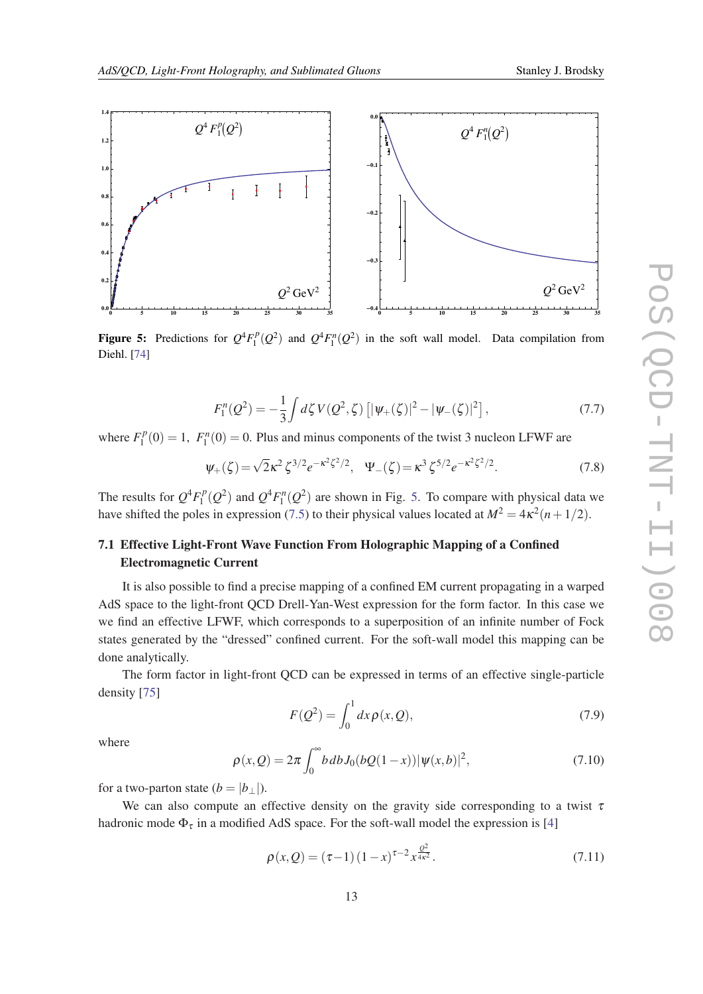<span id="page-12-0"></span>

**Figure 5:** Predictions for  $Q^4 F_1^p$  $\int_1^p (Q^2)$  and  $Q^4 F_1^n(Q^2)$  in the soft wall model. Data compilation from Diehl. [[74\]](#page-25-0)

$$
F_1^n(Q^2) = -\frac{1}{3} \int d\zeta \, V(Q^2, \zeta) \left[ |\psi_+(\zeta)|^2 - |\psi_-(\zeta)|^2 \right],\tag{7.7}
$$

where  $F_1^p$  $T_1^p(0) = 1$ ,  $F_1^n(0) = 0$ . Plus and minus components of the twist 3 nucleon LFWF are

$$
\Psi_{+}(\zeta) = \sqrt{2}\kappa^{2}\zeta^{3/2}e^{-\kappa^{2}\zeta^{2}/2}, \quad \Psi_{-}(\zeta) = \kappa^{3}\zeta^{5/2}e^{-\kappa^{2}\zeta^{2}/2}.
$$
 (7.8)

The results for  $Q^4 F_1^p$  $\int_1^p (Q^2)$  and  $Q^4 F_1^n(Q^2)$  are shown in Fig. 5. To compare with physical data we have shifted the poles in expression ([7.5](#page-11-0)) to their physical values located at  $M^2 = 4\kappa^2(n+1/2)$ .

# 7.1 Effective Light-Front Wave Function From Holographic Mapping of a Confined Electromagnetic Current

It is also possible to find a precise mapping of a confined EM current propagating in a warped AdS space to the light-front QCD Drell-Yan-West expression for the form factor. In this case we we find an effective LFWF, which corresponds to a superposition of an infinite number of Fock states generated by the "dressed" confined current. For the soft-wall model this mapping can be done analytically.

The form factor in light-front QCD can be expressed in terms of an effective single-particle density [\[75](#page-25-0)]

$$
F(Q^2) = \int_0^1 dx \rho(x, Q),
$$
\n(7.9)

where

$$
\rho(x,Q) = 2\pi \int_0^\infty b \, db \, J_0(bQ(1-x)) |\psi(x,b)|^2,\tag{7.10}
$$

for a two-parton state  $(b = |b|)$ .

We can also compute an effective density on the gravity side corresponding to a twist  $\tau$ hadronic mode  $\Phi_{\tau}$  in a modified AdS space. For the soft-wall model the expression is [[4](#page-23-0)]

$$
\rho(x,Q) = (\tau - 1)(1 - x)^{\tau - 2} x^{\frac{Q^2}{4\kappa^2}}.
$$
\n(7.11)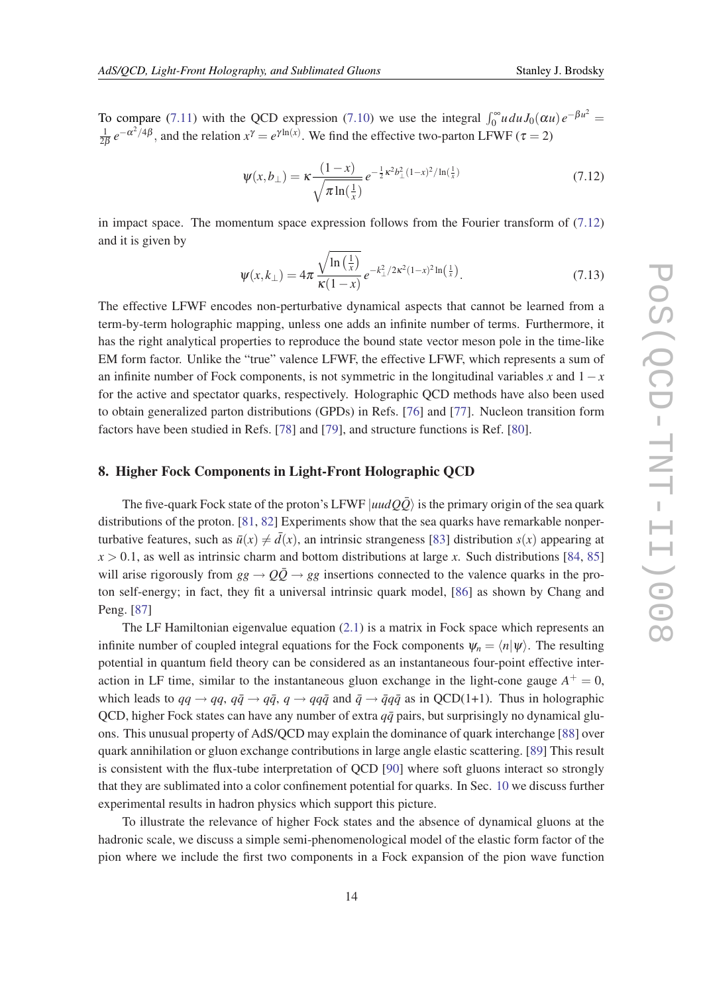To compare [\(7.11](#page-12-0)) with the QCD expression [\(7.10](#page-12-0)) we use the integral  $\int_0^\infty u du J_0(\alpha u) e^{-\beta u^2} =$ 1  $\frac{1}{2\beta}e^{-\alpha^2/4\beta}$ , and the relation  $x^{\gamma} = e^{\gamma \ln(x)}$ . We find the effective two-parton LFWF ( $\tau = 2$ )

$$
\psi(x, b_{\perp}) = \kappa \frac{(1 - x)}{\sqrt{\pi \ln(\frac{1}{x})}} e^{-\frac{1}{2}\kappa^2 b_{\perp}^2 (1 - x)^2 / \ln(\frac{1}{x})}
$$
(7.12)

in impact space. The momentum space expression follows from the Fourier transform of (7.12) and it is given by

$$
\psi(x,k_{\perp}) = 4\pi \frac{\sqrt{\ln\left(\frac{1}{x}\right)}}{\kappa(1-x)} e^{-k_{\perp}^{2}/2\kappa^{2}(1-x)^{2}\ln\left(\frac{1}{x}\right)}.
$$
\n(7.13)

The effective LFWF encodes non-perturbative dynamical aspects that cannot be learned from a term-by-term holographic mapping, unless one adds an infinite number of terms. Furthermore, it has the right analytical properties to reproduce the bound state vector meson pole in the time-like EM form factor. Unlike the "true" valence LFWF, the effective LFWF, which represents a sum of an infinite number of Fock components, is not symmetric in the longitudinal variables *x* and 1−*x* for the active and spectator quarks, respectively. Holographic QCD methods have also been used to obtain generalized parton distributions (GPDs) in Refs. [[76](#page-25-0)] and [[77\]](#page-25-0). Nucleon transition form factors have been studied in Refs. [\[78](#page-25-0)] and [[79\]](#page-25-0), and structure functions is Ref. [\[80](#page-25-0)].

# 8. Higher Fock Components in Light-Front Holographic QCD

The five-quark Fock state of the proton's LFWF  $|uudQ\overline{Q}\rangle$  is the primary origin of the sea quark distributions of the proton. [[81,](#page-25-0) [82](#page-25-0)] Experiments show that the sea quarks have remarkable nonperturbative features, such as  $\bar{u}(x) \neq \bar{d}(x)$ , an intrinsic strangeness [[83\]](#page-26-0) distribution  $s(x)$  appearing at  $x > 0.1$ , as well as intrinsic charm and bottom distributions at large *x*. Such distributions [[84,](#page-26-0) [85](#page-26-0)] will arise rigorously from  $gg \to Q\bar{Q} \to gg$  insertions connected to the valence quarks in the proton self-energy; in fact, they fit a universal intrinsic quark model, [[86\]](#page-26-0) as shown by Chang and Peng. [\[87](#page-26-0)]

The LF Hamiltonian eigenvalue equation ([2.1\)](#page-2-0) is a matrix in Fock space which represents an infinite number of coupled integral equations for the Fock components  $\psi_n = \langle n|\psi\rangle$ . The resulting potential in quantum field theory can be considered as an instantaneous four-point effective interaction in LF time, similar to the instantaneous gluon exchange in the light-cone gauge  $A^+ = 0$ , which leads to  $qq \rightarrow qq$ ,  $q\bar{q} \rightarrow q\bar{q}$ ,  $q \rightarrow qq\bar{q}$  and  $\bar{q} \rightarrow \bar{q}q\bar{q}$  as in QCD(1+1). Thus in holographic QCD, higher Fock states can have any number of extra  $q\bar{q}$  pairs, but surprisingly no dynamical gluons. This unusual property of AdS/QCD may explain the dominance of quark interchange [\[88](#page-26-0)] over quark annihilation or gluon exchange contributions in large angle elastic scattering. [\[89\]](#page-26-0) This result is consistent with the flux-tube interpretation of QCD [\[90](#page-26-0)] where soft gluons interact so strongly that they are sublimated into a color confinement potential for quarks. In Sec. [10](#page-19-0) we discuss further experimental results in hadron physics which support this picture.

To illustrate the relevance of higher Fock states and the absence of dynamical gluons at the hadronic scale, we discuss a simple semi-phenomenological model of the elastic form factor of the pion where we include the first two components in a Fock expansion of the pion wave function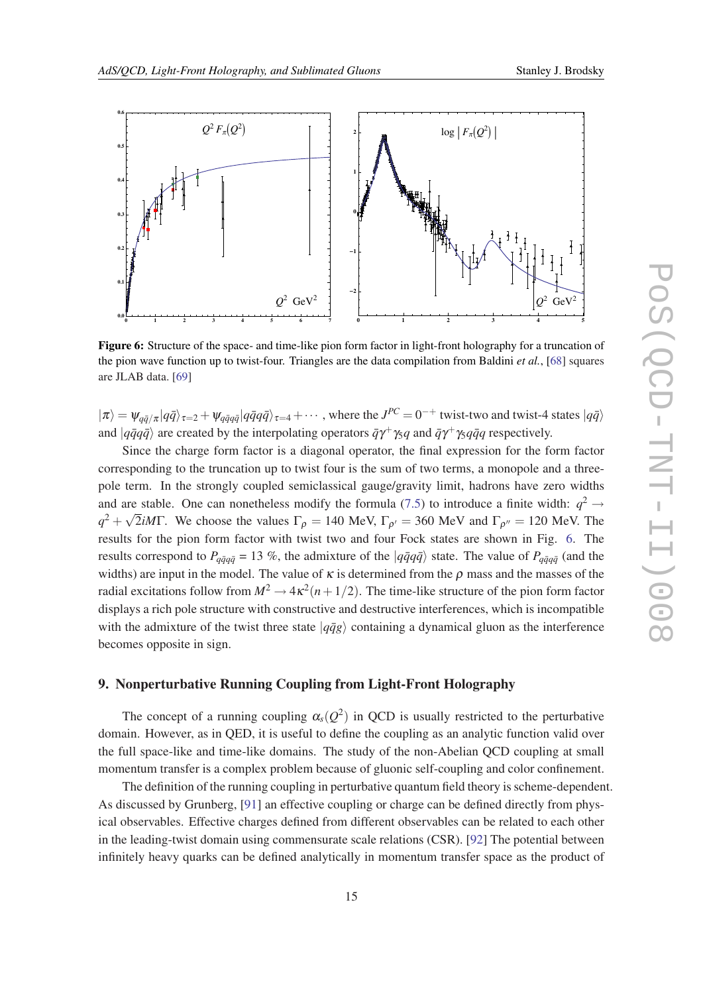

Figure 6: Structure of the space- and time-like pion form factor in light-front holography for a truncation of the pion wave function up to twist-four. Triangles are the data compilation from Baldini *et al.*, [\[68](#page-25-0)] squares are JLAB data. [\[69](#page-25-0)]

 $|\pi \rangle = \psi_{q\bar{q}/\pi} |q\bar{q}\rangle_{\tau=2} + \psi_{q\bar{q}q\bar{q}} |q\bar{q}q\bar{q}\rangle_{\tau=4} + \cdots$ , where the  $J^{PC} = 0^{-+}$  twist-two and twist-4 states  $|q\bar{q}\rangle$ and  $|q\bar{q}q\bar{q}\rangle$  are created by the interpolating operators  $\bar{q}\gamma^+\gamma_5 q$  and  $\bar{q}\gamma^+\gamma_5 q\bar{q}q$  respectively.

Since the charge form factor is a diagonal operator, the final expression for the form factor corresponding to the truncation up to twist four is the sum of two terms, a monopole and a threepole term. In the strongly coupled semiclassical gauge/gravity limit, hadrons have zero widths and are stable. One can nonetheless modify the formula ([7.5](#page-11-0)) to introduce a finite width:  $q^2 \rightarrow$  $q^2 + \sqrt{2}iM\Gamma$ . We choose the values  $\Gamma_{\rho} = 140$  MeV,  $\Gamma_{\rho'} = 360$  MeV and  $\Gamma_{\rho''} = 120$  MeV. The results for the pion form factor with twist two and four Fock states are shown in Fig. 6. The results correspond to  $P_{q\bar{q}q\bar{q}} = 13$  %, the admixture of the  $|q\bar{q}q\bar{q}\rangle$  state. The value of  $P_{q\bar{q}q\bar{q}}$  (and the widths) are input in the model. The value of  $\kappa$  is determined from the  $\rho$  mass and the masses of the radial excitations follow from  $M^2 \to 4\kappa^2(n+1/2)$ . The time-like structure of the pion form factor displays a rich pole structure with constructive and destructive interferences, which is incompatible with the admixture of the twist three state  $|q\bar{q}g\rangle$  containing a dynamical gluon as the interference becomes opposite in sign.

# 9. Nonperturbative Running Coupling from Light-Front Holography

The concept of a running coupling  $\alpha_s(Q^2)$  in QCD is usually restricted to the perturbative domain. However, as in QED, it is useful to define the coupling as an analytic function valid over the full space-like and time-like domains. The study of the non-Abelian QCD coupling at small momentum transfer is a complex problem because of gluonic self-coupling and color confinement.

The definition of the running coupling in perturbative quantum field theory is scheme-dependent. As discussed by Grunberg, [\[91](#page-26-0)] an effective coupling or charge can be defined directly from physical observables. Effective charges defined from different observables can be related to each other in the leading-twist domain using commensurate scale relations (CSR). [\[92](#page-26-0)] The potential between infinitely heavy quarks can be defined analytically in momentum transfer space as the product of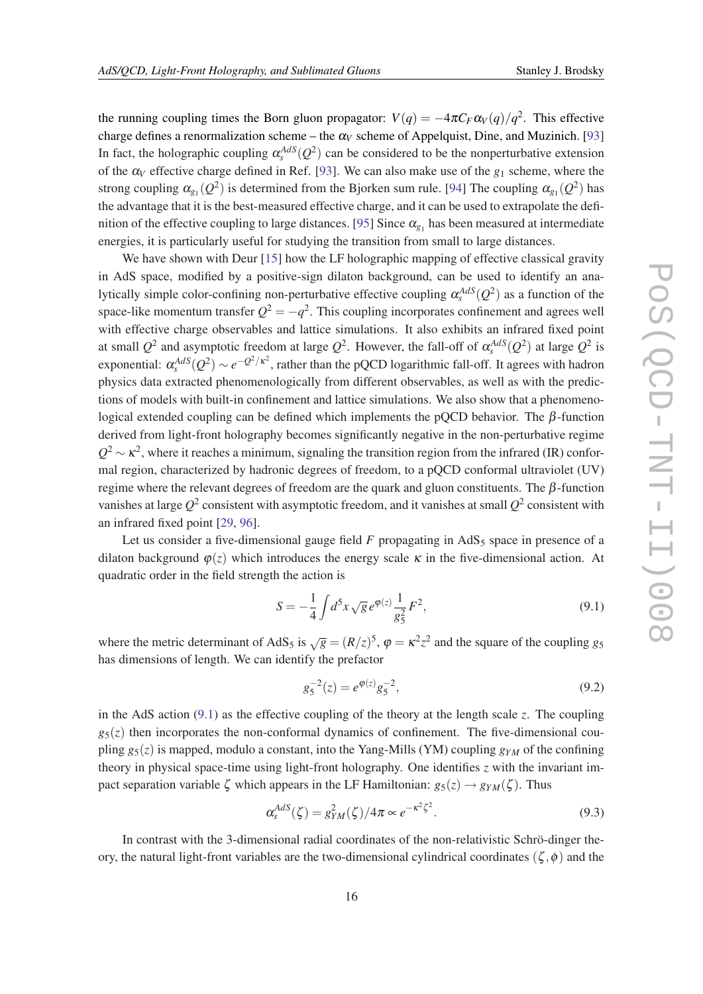<span id="page-15-0"></span>the running coupling times the Born gluon propagator:  $V(q) = -4\pi C_F \alpha_V(q)/q^2$ . This effective charge defines a renormalization scheme – the  $\alpha_V$  scheme of Appelquist, Dine, and Muzinich. [\[93](#page-26-0)] In fact, the holographic coupling  $\alpha_s^{AdS}(Q^2)$  can be considered to be the nonperturbative extension of the α*<sup>V</sup>* effective charge defined in Ref. [[93](#page-26-0)]. We can also make use of the *g*<sup>1</sup> scheme, where the strong coupling  $\alpha_{g_1}(Q^2)$  is determined from the Bjorken sum rule. [[94](#page-26-0)] The coupling  $\alpha_{g_1}(Q^2)$  has the advantage that it is the best-measured effective charge, and it can be used to extrapolate the defi-nition of the effective coupling to large distances. [\[95](#page-26-0)] Since  $\alpha_{g_1}$  has been measured at intermediate energies, it is particularly useful for studying the transition from small to large distances.

We have shown with Deur [\[15](#page-23-0)] how the LF holographic mapping of effective classical gravity in AdS space, modified by a positive-sign dilaton background, can be used to identify an analytically simple color-confining non-perturbative effective coupling  $\alpha_s^{AdS}(Q^2)$  as a function of the space-like momentum transfer  $Q^2 = -q^2$ . This coupling incorporates confinement and agrees well with effective charge observables and lattice simulations. It also exhibits an infrared fixed point at small  $Q^2$  and asymptotic freedom at large  $Q^2$ . However, the fall-off of  $\alpha_s^{AdS}(Q^2)$  at large  $Q^2$  is exponential:  $\alpha_s^{AdS}(Q^2) \sim e^{-Q^2/\kappa^2}$ , rather than the pQCD logarithmic fall-off. It agrees with hadron physics data extracted phenomenologically from different observables, as well as with the predictions of models with built-in confinement and lattice simulations. We also show that a phenomenological extended coupling can be defined which implements the pQCD behavior. The  $\beta$ -function derived from light-front holography becomes significantly negative in the non-perturbative regime  $Q^2 \sim \kappa^2$ , where it reaches a minimum, signaling the transition region from the infrared (IR) conformal region, characterized by hadronic degrees of freedom, to a pQCD conformal ultraviolet (UV) regime where the relevant degrees of freedom are the quark and gluon constituents. The  $β$ -function vanishes at large  $Q^2$  consistent with asymptotic freedom, and it vanishes at small  $Q^2$  consistent with an infrared fixed point [[29,](#page-24-0) [96](#page-26-0)].

Let us consider a five-dimensional gauge field  $F$  propagating in  $AdS_5$  space in presence of a dilaton background  $\varphi(z)$  which introduces the energy scale  $\kappa$  in the five-dimensional action. At quadratic order in the field strength the action is

$$
S = -\frac{1}{4} \int d^5 x \sqrt{g} \, e^{\varphi(z)} \frac{1}{g_5^2} F^2,\tag{9.1}
$$

where the metric determinant of AdS<sub>5</sub> is  $\sqrt{g} = (R/z)^5$ ,  $\varphi = \kappa^2 z^2$  and the square of the coupling *g*<sub>5</sub> has dimensions of length. We can identify the prefactor

$$
g_5^{-2}(z) = e^{\varphi(z)} g_5^{-2},\tag{9.2}
$$

in the AdS action (9.1) as the effective coupling of the theory at the length scale *z*. The coupling  $g_5(z)$  then incorporates the non-conformal dynamics of confinement. The five-dimensional coupling  $g_5(z)$  is mapped, modulo a constant, into the Yang-Mills (YM) coupling  $g_{YM}$  of the confining theory in physical space-time using light-front holography. One identifies *z* with the invariant impact separation variable  $\zeta$  which appears in the LF Hamiltonian:  $g_5(z) \rightarrow g_{YM}(\zeta)$ . Thus

$$
\alpha_s^{AdS}(\zeta) = g_{YM}^2(\zeta)/4\pi \propto e^{-\kappa^2 \zeta^2}.
$$
\n(9.3)

In contrast with the 3-dimensional radial coordinates of the non-relativistic Schrö-dinger theory, the natural light-front variables are the two-dimensional cylindrical coordinates ( $\zeta$ , $\phi$ ) and the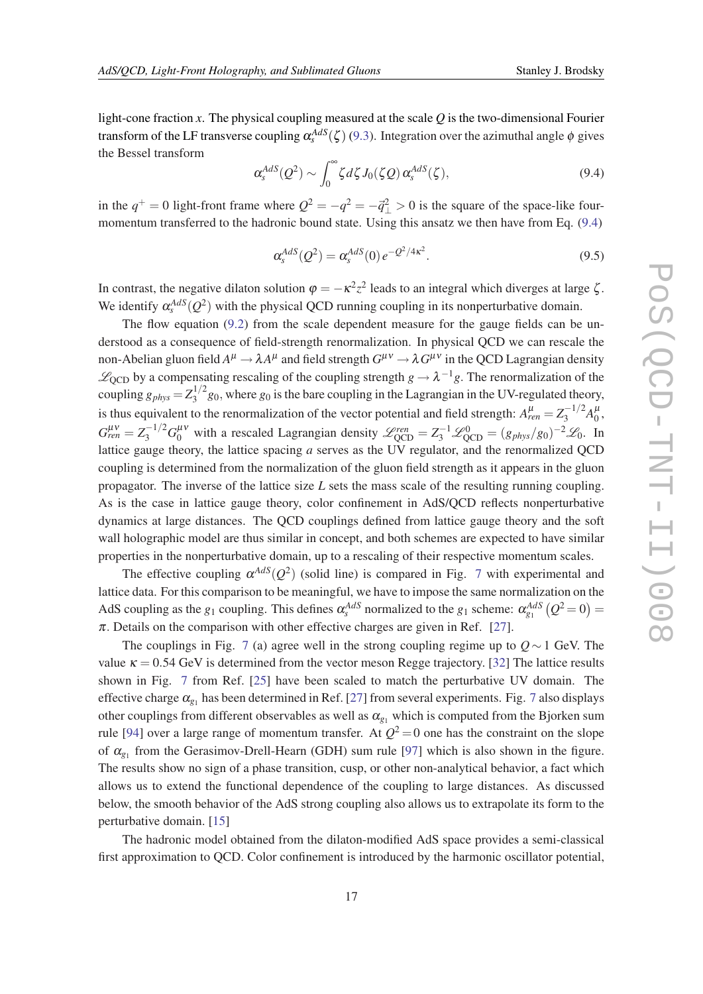<span id="page-16-0"></span>light-cone fraction *x*. The physical coupling measured at the scale *Q* is the two-dimensional Fourier transform of the LF transverse coupling  $\alpha_s^{AdS}(\zeta)$  [\(9.3\)](#page-15-0). Integration over the azimuthal angle  $\phi$  gives the Bessel transform

$$
\alpha_s^{AdS}(Q^2) \sim \int_0^\infty \zeta d\zeta J_0(\zeta Q) \,\alpha_s^{AdS}(\zeta),\tag{9.4}
$$

in the  $q^+ = 0$  light-front frame where  $Q^2 = -q^2 = -\vec{q}^2 \ge 0$  is the square of the space-like fourmomentum transferred to the hadronic bound state. Using this ansatz we then have from Eq. (9.4)

$$
\alpha_s^{AdS}(Q^2) = \alpha_s^{AdS}(0) \, e^{-Q^2/4\kappa^2}.\tag{9.5}
$$

In contrast, the negative dilaton solution  $\varphi = -\kappa^2 z^2$  leads to an integral which diverges at large  $\zeta$ . We identify  $\alpha_s^{AdS}(Q^2)$  with the physical QCD running coupling in its nonperturbative domain.

The flow equation [\(9.2\)](#page-15-0) from the scale dependent measure for the gauge fields can be understood as a consequence of field-strength renormalization. In physical QCD we can rescale the non-Abelian gluon field  $A^\mu\to \lambda A^\mu$  and field strength  $G^{\mu\nu}\to \lambda\, G^{\mu\nu}$  in the QCD Lagrangian density  $\mathscr{L}_{QCD}$  by a compensating rescaling of the coupling strength  $g \to \lambda^{-1}g$ . The renormalization of the coupling  $g_{phys} = Z_3^{1/2}$  $3^{1/2}$  g<sub>0</sub>, where  $g_0$  is the bare coupling in the Lagrangian in the UV-regulated theory, is thus equivalent to the renormalization of the vector potential and field strength:  $A_{ren}^{\mu} = Z_3^{-1/2} A_0^{\mu}$  $\frac{\mu}{0}$  $G_{ren}^{\mu\nu} = Z_3^{-1/2} G_0^{\mu\nu}$  with a rescaled Lagrangian density  $\mathscr{L}_{QCD}^{ren} = Z_3^{-1} \mathscr{L}_{QCD}^{0} = (g_{phys}/g_0)^{-2} \mathscr{L}_0$ . In lattice gauge theory, the lattice spacing *a* serves as the UV regulator, and the renormalized QCD coupling is determined from the normalization of the gluon field strength as it appears in the gluon propagator. The inverse of the lattice size *L* sets the mass scale of the resulting running coupling. As is the case in lattice gauge theory, color confinement in AdS/QCD reflects nonperturbative dynamics at large distances. The QCD couplings defined from lattice gauge theory and the soft wall holographic model are thus similar in concept, and both schemes are expected to have similar properties in the nonperturbative domain, up to a rescaling of their respective momentum scales.

The effective coupling  $\alpha^{AdS}(Q^2)$  (solid line) is compared in Fig. [7](#page-17-0) with experimental and lattice data. For this comparison to be meaningful, we have to impose the same normalization on the AdS coupling as the  $g_1$  coupling. This defines  $\alpha_s^{AdS}$  normalized to the  $g_1$  scheme:  $\alpha_{g_1}^{AdS}(Q^2=0)$  =  $\pi$ . Details on the comparison with other effective charges are given in Ref. [\[27](#page-23-0)].

The couplings in Fig. [7](#page-17-0) (a) agree well in the strong coupling regime up to *Q*∼1 GeV. The value  $\kappa = 0.54$  GeV is determined from the vector meson Regge trajectory. [\[32](#page-24-0)] The lattice results shown in Fig. [7](#page-17-0) from Ref. [[25\]](#page-23-0) have been scaled to match the perturbative UV domain. The effective charge  $\alpha_{g_1}$  has been determined in Ref. [[27\]](#page-23-0) from several experiments. Fig. [7](#page-17-0) also displays other couplings from different observables as well as  $\alpha_{g_1}$  which is computed from the Bjorken sum rule [\[94](#page-26-0)] over a large range of momentum transfer. At  $Q^2 = 0$  one has the constraint on the slope of  $\alpha_{g_1}$  from the Gerasimov-Drell-Hearn (GDH) sum rule [\[97](#page-26-0)] which is also shown in the figure. The results show no sign of a phase transition, cusp, or other non-analytical behavior, a fact which allows us to extend the functional dependence of the coupling to large distances. As discussed below, the smooth behavior of the AdS strong coupling also allows us to extrapolate its form to the perturbative domain. [\[15](#page-23-0)]

The hadronic model obtained from the dilaton-modified AdS space provides a semi-classical first approximation to QCD. Color confinement is introduced by the harmonic oscillator potential,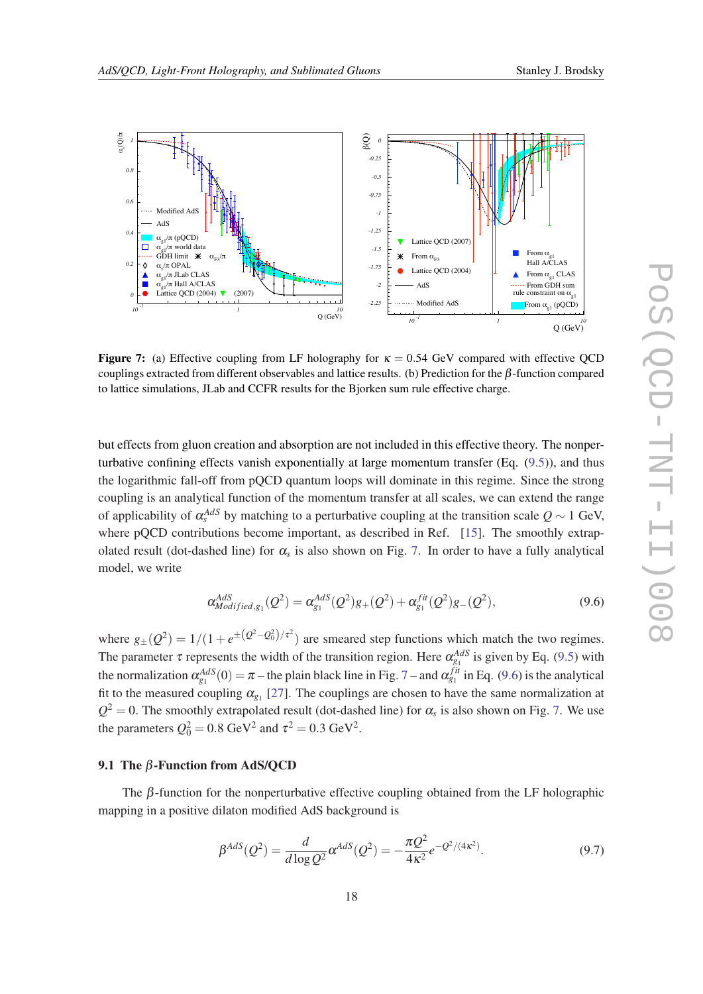<span id="page-17-0"></span>

**Figure 7:** (a) Effective coupling from LF holography for  $\kappa = 0.54$  GeV compared with effective OCD couplings extracted from different observables and lattice results. (b) Prediction for the  $\beta$ -function compared to lattice simulations, JLab and CCFR results for the Bjorken sum rule effective charge.

but effects from gluon creation and absorption are not included in this effective theory. The nonperturbative confining effects vanish exponentially at large momentum transfer (Eq. ([9.5](#page-16-0))), and thus the logarithmic fall-off from pQCD quantum loops will dominate in this regime. Since the strong coupling is an analytical function of the momentum transfer at all scales, we can extend the range of applicability of  $\alpha_s^{AdS}$  by matching to a perturbative coupling at the transition scale  $Q \sim 1$  GeV, where pQCD contributions become important, as described in Ref. [[15\]](#page-23-0). The smoothly extrapolated result (dot-dashed line) for α*<sup>s</sup>* is also shown on Fig. 7. In order to have a fully analytical model, we write

$$
\alpha_{Modified,g_1}^{AdS}(Q^2) = \alpha_{g_1}^{AdS}(Q^2)g_+(Q^2) + \alpha_{g_1}^{fit}(Q^2)g_-(Q^2), \tag{9.6}
$$

where  $g_{\pm}(Q^2) = 1/(1 + e^{\pm (Q^2 - Q_0^2)/\tau^2})$  are smeared step functions which match the two regimes. The parameter  $\tau$  represents the width of the transition region. Here  $\alpha_{g_1}^{AdS}$  is given by Eq. ([9.5](#page-16-0)) with the normalization  $\alpha_{g_1}^{AdS}(0) = \pi$  – the plain black line in Fig. 7 – and  $\alpha_{g_1}^{fit}$  in Eq. (9.6) is the analytical fit to the measured coupling  $\alpha_{g_1}$  [[27\]](#page-23-0). The couplings are chosen to have the same normalization at  $Q^2 = 0$ . The smoothly extrapolated result (dot-dashed line) for  $\alpha_s$  is also shown on Fig. 7. We use the parameters  $Q_0^2 = 0.8 \text{ GeV}^2$  and  $\tau^2 = 0.3 \text{ GeV}^2$ .

### 9.1 The  $β$ -Function from AdS/QCD

The  $\beta$ -function for the nonperturbative effective coupling obtained from the LF holographic mapping in a positive dilaton modified AdS background is

$$
\beta^{AdS}(Q^2) = \frac{d}{d \log Q^2} \alpha^{AdS}(Q^2) = -\frac{\pi Q^2}{4\kappa^2} e^{-Q^2/(4\kappa^2)}.
$$
\n(9.7)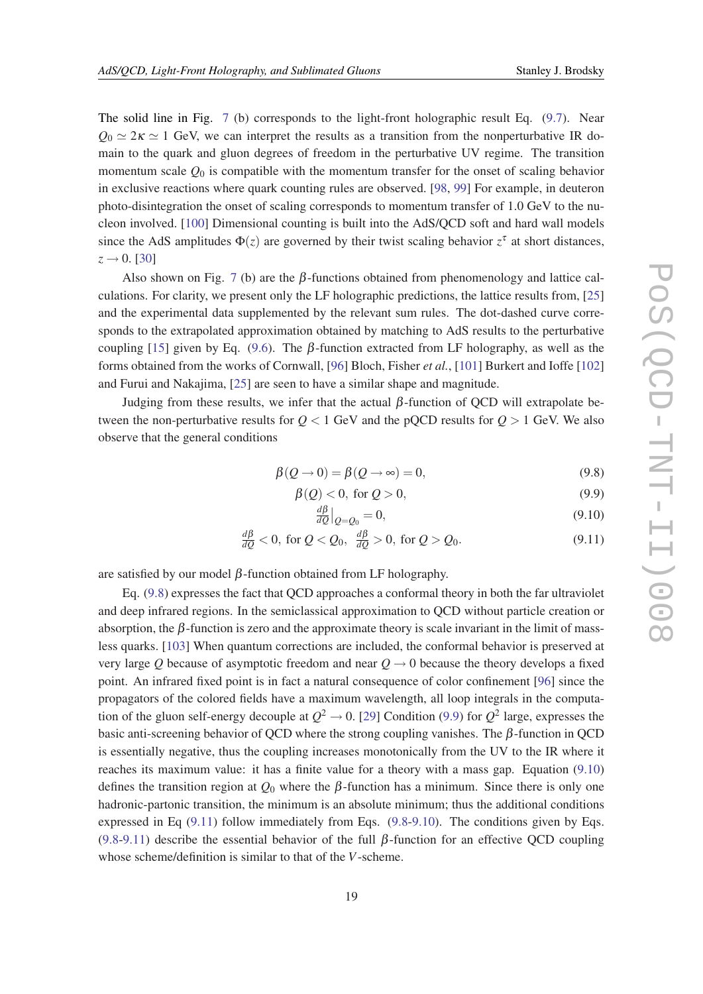The solid line in Fig. [7](#page-17-0) (b) corresponds to the light-front holographic result Eq. ([9.7](#page-17-0)). Near  $Q_0 \simeq 2\kappa \simeq 1$  GeV, we can interpret the results as a transition from the nonperturbative IR domain to the quark and gluon degrees of freedom in the perturbative UV regime. The transition momentum scale  $Q_0$  is compatible with the momentum transfer for the onset of scaling behavior in exclusive reactions where quark counting rules are observed. [[98,](#page-26-0) [99](#page-26-0)] For example, in deuteron photo-disintegration the onset of scaling corresponds to momentum transfer of 1.0 GeV to the nucleon involved. [[100](#page-26-0)] Dimensional counting is built into the AdS/QCD soft and hard wall models since the AdS amplitudes  $\Phi(z)$  are governed by their twist scaling behavior  $z^{\tau}$  at short distances,  $z \to 0$ . [[30\]](#page-24-0)

Also shown on Fig. [7](#page-17-0) (b) are the  $\beta$ -functions obtained from phenomenology and lattice calculations. For clarity, we present only the LF holographic predictions, the lattice results from, [\[25](#page-23-0)] and the experimental data supplemented by the relevant sum rules. The dot-dashed curve corresponds to the extrapolated approximation obtained by matching to AdS results to the perturbative coupling [[15\]](#page-23-0) given by Eq. [\(9.6\)](#page-17-0). The  $\beta$ -function extracted from LF holography, as well as the forms obtained from the works of Cornwall, [\[96](#page-26-0)] Bloch, Fisher *et al.*, [[101](#page-26-0)] Burkert and Ioffe [[102](#page-26-0)] and Furui and Nakajima, [\[25](#page-23-0)] are seen to have a similar shape and magnitude.

Judging from these results, we infer that the actual  $β$ -function of QCD will extrapolate between the non-perturbative results for  $Q < 1$  GeV and the pQCD results for  $Q > 1$  GeV. We also observe that the general conditions

$$
\beta(Q \to 0) = \beta(Q \to \infty) = 0,\tag{9.8}
$$

$$
\beta(Q) < 0, \text{ for } Q > 0,\tag{9.9}
$$

$$
\left. \frac{d\beta}{dQ} \right|_{Q=Q_0} = 0,\tag{9.10}
$$

$$
\frac{d\beta}{dQ} < 0, \text{ for } Q < Q_0, \quad \frac{d\beta}{dQ} > 0, \text{ for } Q > Q_0. \tag{9.11}
$$

are satisfied by our model  $\beta$ -function obtained from LF holography.

Eq. (9.8) expresses the fact that QCD approaches a conformal theory in both the far ultraviolet and deep infrared regions. In the semiclassical approximation to QCD without particle creation or absorption, the  $\beta$ -function is zero and the approximate theory is scale invariant in the limit of massless quarks. [[103](#page-26-0)] When quantum corrections are included, the conformal behavior is preserved at very large Q because of asymptotic freedom and near  $Q \rightarrow 0$  because the theory develops a fixed point. An infrared fixed point is in fact a natural consequence of color confinement [[96\]](#page-26-0) since the propagators of the colored fields have a maximum wavelength, all loop integrals in the computation of the gluon self-energy decouple at  $Q^2 \rightarrow 0$ . [[29\]](#page-24-0) Condition (9.9) for  $Q^2$  large, expresses the basic anti-screening behavior of QCD where the strong coupling vanishes. The β-function in QCD is essentially negative, thus the coupling increases monotonically from the UV to the IR where it reaches its maximum value: it has a finite value for a theory with a mass gap. Equation (9.10) defines the transition region at  $Q_0$  where the  $\beta$ -function has a minimum. Since there is only one hadronic-partonic transition, the minimum is an absolute minimum; thus the additional conditions expressed in Eq (9.11) follow immediately from Eqs. (9.8-9.10). The conditions given by Eqs. (9.8-9.11) describe the essential behavior of the full  $\beta$ -function for an effective QCD coupling whose scheme/definition is similar to that of the *V*-scheme.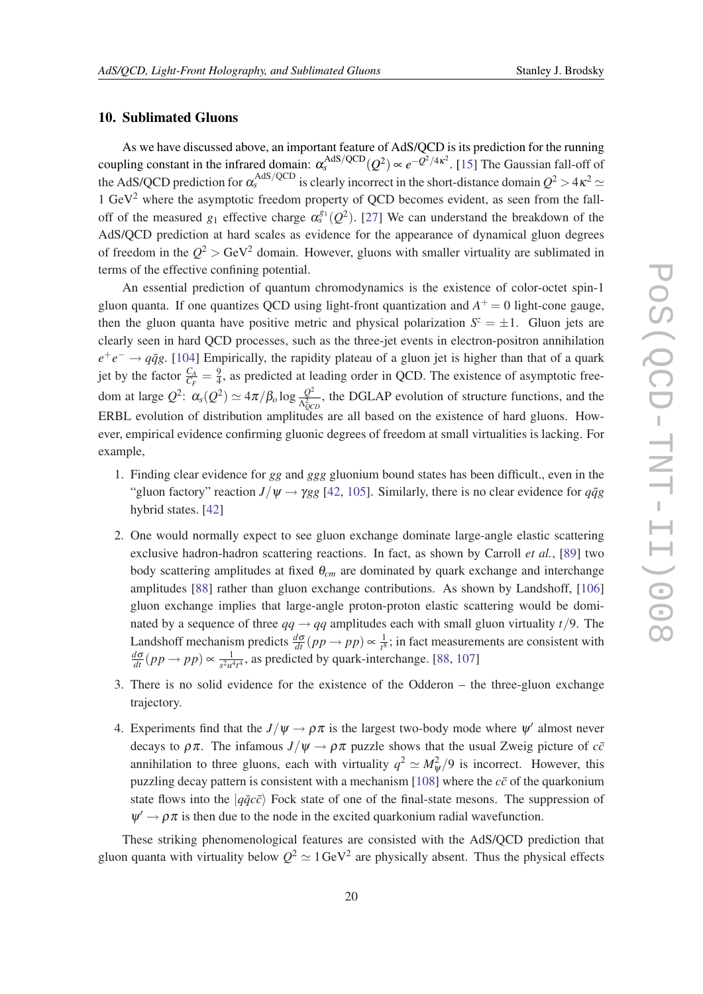### <span id="page-19-0"></span>10. Sublimated Gluons

As we have discussed above, an important feature of AdS/QCD is its prediction for the running coupling constant in the infrared domain:  $\alpha_s^{\text{AdS/QCD}}(Q^2) \propto e^{-Q^2/4\kappa^2}$ . [[15\]](#page-23-0) The Gaussian fall-off of the AdS/QCD prediction for  $\alpha_s^{\text{AdS/QCD}}$  is clearly incorrect in the short-distance domain  $Q^2 > 4\kappa^2 \simeq$ 1  $\text{GeV}^2$  where the asymptotic freedom property of QCD becomes evident, as seen from the falloff of the measured  $g_1$  effective charge  $\alpha_s^{g_1}(Q^2)$ . [[27\]](#page-23-0) We can understand the breakdown of the AdS/QCD prediction at hard scales as evidence for the appearance of dynamical gluon degrees of freedom in the  $Q^2 > GeV^2$  domain. However, gluons with smaller virtuality are sublimated in terms of the effective confining potential.

An essential prediction of quantum chromodynamics is the existence of color-octet spin-1 gluon quanta. If one quantizes QCD using light-front quantization and  $A^+=0$  light-cone gauge, then the gluon quanta have positive metric and physical polarization  $S^z = \pm 1$ . Gluon jets are clearly seen in hard QCD processes, such as the three-jet events in electron-positron annihilation  $e^+e^- \rightarrow q\bar{q}g$ . [\[104](#page-26-0)] Empirically, the rapidity plateau of a gluon jet is higher than that of a quark jet by the factor  $\frac{C_A}{C_F} = \frac{9}{4}$  $\frac{9}{4}$ , as predicted at leading order in QCD. The existence of asymptotic freedom at large  $Q^2$ :  $\alpha_s(Q^2) \simeq 4\pi/\beta_o \log \frac{Q^2}{\Lambda^2}$  $\frac{Q^2}{\Lambda_{QCD}^2}$ , the DGLAP evolution of structure functions, and the ERBL evolution of distribution amplitudes are all based on the existence of hard gluons. However, empirical evidence confirming gluonic degrees of freedom at small virtualities is lacking. For example,

- 1. Finding clear evidence for *gg* and *ggg* gluonium bound states has been difficult., even in the "gluon factory" reaction  $J/\psi \rightarrow \gamma gg$  [\[42](#page-24-0), [105](#page-26-0)]. Similarly, there is no clear evidence for  $q\bar{q}g$ hybrid states. [[42\]](#page-24-0)
- 2. One would normally expect to see gluon exchange dominate large-angle elastic scattering exclusive hadron-hadron scattering reactions. In fact, as shown by Carroll *et al.*, [[89](#page-26-0)] two body scattering amplitudes at fixed θ*cm* are dominated by quark exchange and interchange amplitudes [[88\]](#page-26-0) rather than gluon exchange contributions. As shown by Landshoff, [[106](#page-26-0)] gluon exchange implies that large-angle proton-proton elastic scattering would be dominated by a sequence of three  $qq \rightarrow qq$  amplitudes each with small gluon virtuality  $t/9$ . The Landshoff mechanism predicts  $\frac{d\sigma}{dt}(pp \to pp) \propto \frac{1}{t^8}$  $\frac{1}{t^8}$ ; in fact measurements are consistent with  $\frac{d\sigma}{dt}(pp \to pp) \propto \frac{1}{s^2 u^2}$  $\frac{1}{s^2 u^4 t^4}$ , as predicted by quark-interchange. [\[88,](#page-26-0) [107\]](#page-26-0)
- 3. There is no solid evidence for the existence of the Odderon the three-gluon exchange trajectory.
- 4. Experiments find that the  $J/\psi \rightarrow \rho \pi$  is the largest two-body mode where  $\psi'$  almost never decays to  $\rho \pi$ . The infamous  $J/\psi \rightarrow \rho \pi$  puzzle shows that the usual Zweig picture of  $c\bar{c}$ annihilation to three gluons, each with virtuality  $q^2 \simeq M_{\psi}^2/9$  is incorrect. However, this puzzling decay pattern is consistent with a mechanism [\[108\]](#page-27-0) where the  $c\bar{c}$  of the quarkonium state flows into the  $|q\bar{q}c\bar{c}\rangle$  Fock state of one of the final-state mesons. The suppression of  $\psi' \rightarrow \rho \pi$  is then due to the node in the excited quarkonium radial wavefunction.

These striking phenomenological features are consisted with the AdS/QCD prediction that gluon quanta with virtuality below  $Q^2 \simeq 1 \text{ GeV}^2$  are physically absent. Thus the physical effects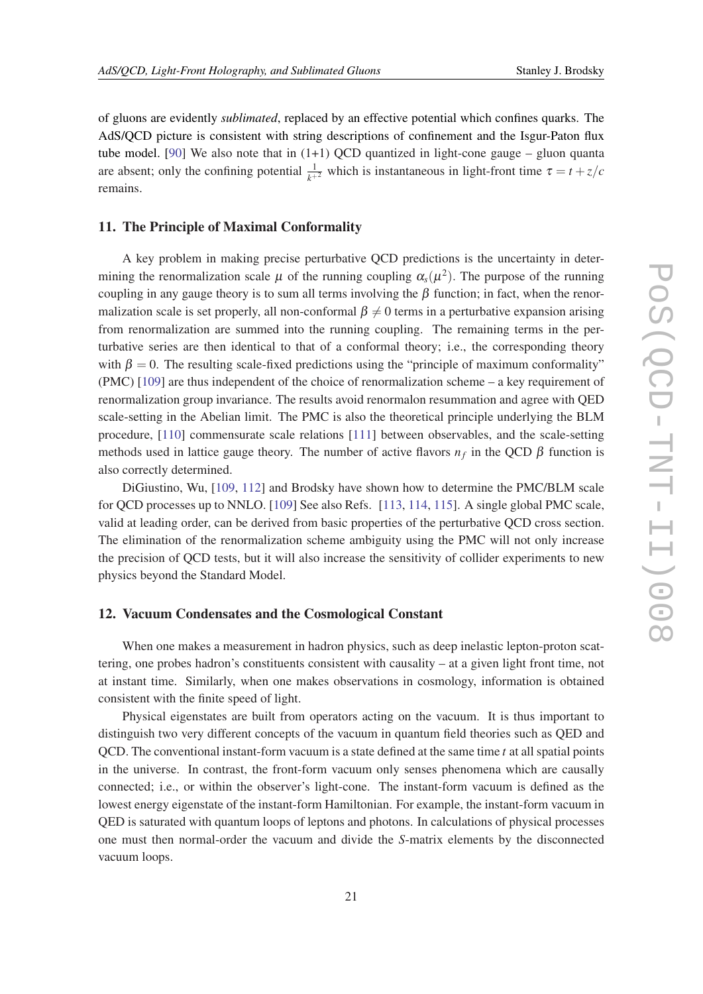of gluons are evidently *sublimated*, replaced by an effective potential which confines quarks. The AdS/QCD picture is consistent with string descriptions of confinement and the Isgur-Paton flux tube model. [\[90\]](#page-26-0) We also note that in  $(1+1)$  QCD quantized in light-cone gauge – gluon quanta are absent; only the confining potential  $\frac{1}{k+2}$  which is instantaneous in light-front time  $\tau = t + z/c$ remains.

### 11. The Principle of Maximal Conformality

A key problem in making precise perturbative QCD predictions is the uncertainty in determining the renormalization scale  $\mu$  of the running coupling  $\alpha_s(\mu^2)$ . The purpose of the running coupling in any gauge theory is to sum all terms involving the  $\beta$  function; in fact, when the renormalization scale is set properly, all non-conformal  $\beta \neq 0$  terms in a perturbative expansion arising from renormalization are summed into the running coupling. The remaining terms in the perturbative series are then identical to that of a conformal theory; i.e., the corresponding theory with  $\beta = 0$ . The resulting scale-fixed predictions using the "principle of maximum conformality" (PMC) [[109](#page-27-0)] are thus independent of the choice of renormalization scheme – a key requirement of renormalization group invariance. The results avoid renormalon resummation and agree with QED scale-setting in the Abelian limit. The PMC is also the theoretical principle underlying the BLM procedure, [\[110](#page-27-0)] commensurate scale relations [[111](#page-27-0)] between observables, and the scale-setting methods used in lattice gauge theory. The number of active flavors  $n_f$  in the QCD  $\beta$  function is also correctly determined.

DiGiustino, Wu, [[109](#page-27-0), [112](#page-27-0)] and Brodsky have shown how to determine the PMC/BLM scale for QCD processes up to NNLO. [[109\]](#page-27-0) See also Refs. [\[113,](#page-27-0) [114](#page-27-0), [115\]](#page-27-0). A single global PMC scale, valid at leading order, can be derived from basic properties of the perturbative QCD cross section. The elimination of the renormalization scheme ambiguity using the PMC will not only increase the precision of QCD tests, but it will also increase the sensitivity of collider experiments to new physics beyond the Standard Model.

# 12. Vacuum Condensates and the Cosmological Constant

When one makes a measurement in hadron physics, such as deep inelastic lepton-proton scattering, one probes hadron's constituents consistent with causality – at a given light front time, not at instant time. Similarly, when one makes observations in cosmology, information is obtained consistent with the finite speed of light.

Physical eigenstates are built from operators acting on the vacuum. It is thus important to distinguish two very different concepts of the vacuum in quantum field theories such as QED and QCD. The conventional instant-form vacuum is a state defined at the same time *t* at all spatial points in the universe. In contrast, the front-form vacuum only senses phenomena which are causally connected; i.e., or within the observer's light-cone. The instant-form vacuum is defined as the lowest energy eigenstate of the instant-form Hamiltonian. For example, the instant-form vacuum in QED is saturated with quantum loops of leptons and photons. In calculations of physical processes one must then normal-order the vacuum and divide the *S*-matrix elements by the disconnected vacuum loops.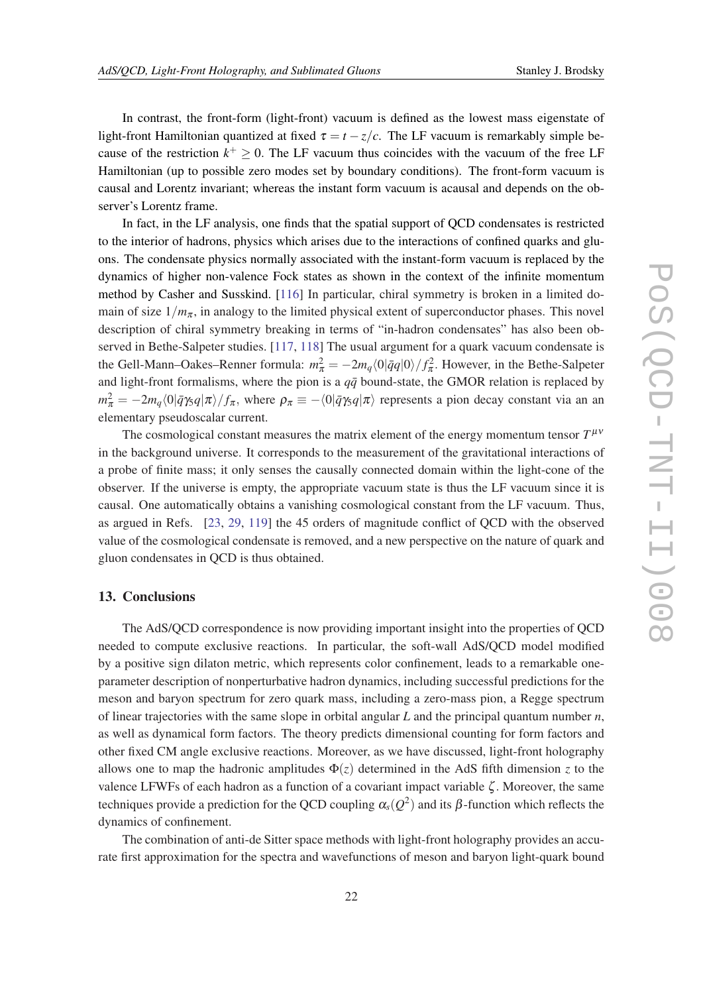In contrast, the front-form (light-front) vacuum is defined as the lowest mass eigenstate of light-front Hamiltonian quantized at fixed  $\tau = t - z/c$ . The LF vacuum is remarkably simple because of the restriction  $k^+ \geq 0$ . The LF vacuum thus coincides with the vacuum of the free LF Hamiltonian (up to possible zero modes set by boundary conditions). The front-form vacuum is causal and Lorentz invariant; whereas the instant form vacuum is acausal and depends on the observer's Lorentz frame.

In fact, in the LF analysis, one finds that the spatial support of QCD condensates is restricted to the interior of hadrons, physics which arises due to the interactions of confined quarks and gluons. The condensate physics normally associated with the instant-form vacuum is replaced by the dynamics of higher non-valence Fock states as shown in the context of the infinite momentum method by Casher and Susskind. [\[116](#page-27-0)] In particular, chiral symmetry is broken in a limited domain of size  $1/m_{\pi}$ , in analogy to the limited physical extent of superconductor phases. This novel description of chiral symmetry breaking in terms of "in-hadron condensates" has also been observed in Bethe-Salpeter studies. [\[117,](#page-27-0) [118\]](#page-27-0) The usual argument for a quark vacuum condensate is the Gell-Mann–Oakes–Renner formula:  $m_{\pi}^2 = -2m_q \langle 0|\bar{q}q|0\rangle/f_{\pi}^2$ . However, in the Bethe-Salpeter and light-front formalisms, where the pion is a  $q\bar{q}$  bound-state, the GMOR relation is replaced by  $m_{\pi}^2 = -2m_q\langle 0|\bar{q}\gamma_5 q|\pi\rangle/f_{\pi}$ , where  $\rho_{\pi} \equiv -\langle 0|\bar{q}\gamma_5 q|\pi\rangle$  represents a pion decay constant via an an elementary pseudoscalar current.

The cosmological constant measures the matrix element of the energy momentum tensor  $T^{\mu\nu}$ in the background universe. It corresponds to the measurement of the gravitational interactions of a probe of finite mass; it only senses the causally connected domain within the light-cone of the observer. If the universe is empty, the appropriate vacuum state is thus the LF vacuum since it is causal. One automatically obtains a vanishing cosmological constant from the LF vacuum. Thus, as argued in Refs. [\[23](#page-23-0), [29](#page-24-0), [119\]](#page-27-0) the 45 orders of magnitude conflict of QCD with the observed value of the cosmological condensate is removed, and a new perspective on the nature of quark and gluon condensates in QCD is thus obtained.

### 13. Conclusions

The AdS/QCD correspondence is now providing important insight into the properties of QCD needed to compute exclusive reactions. In particular, the soft-wall AdS/QCD model modified by a positive sign dilaton metric, which represents color confinement, leads to a remarkable oneparameter description of nonperturbative hadron dynamics, including successful predictions for the meson and baryon spectrum for zero quark mass, including a zero-mass pion, a Regge spectrum of linear trajectories with the same slope in orbital angular *L* and the principal quantum number *n*, as well as dynamical form factors. The theory predicts dimensional counting for form factors and other fixed CM angle exclusive reactions. Moreover, as we have discussed, light-front holography allows one to map the hadronic amplitudes  $\Phi(z)$  determined in the AdS fifth dimension *z* to the valence LFWFs of each hadron as a function of a covariant impact variable  $\zeta$ . Moreover, the same techniques provide a prediction for the QCD coupling  $\alpha_s(Q^2)$  and its  $\beta$ -function which reflects the dynamics of confinement.

The combination of anti-de Sitter space methods with light-front holography provides an accurate first approximation for the spectra and wavefunctions of meson and baryon light-quark bound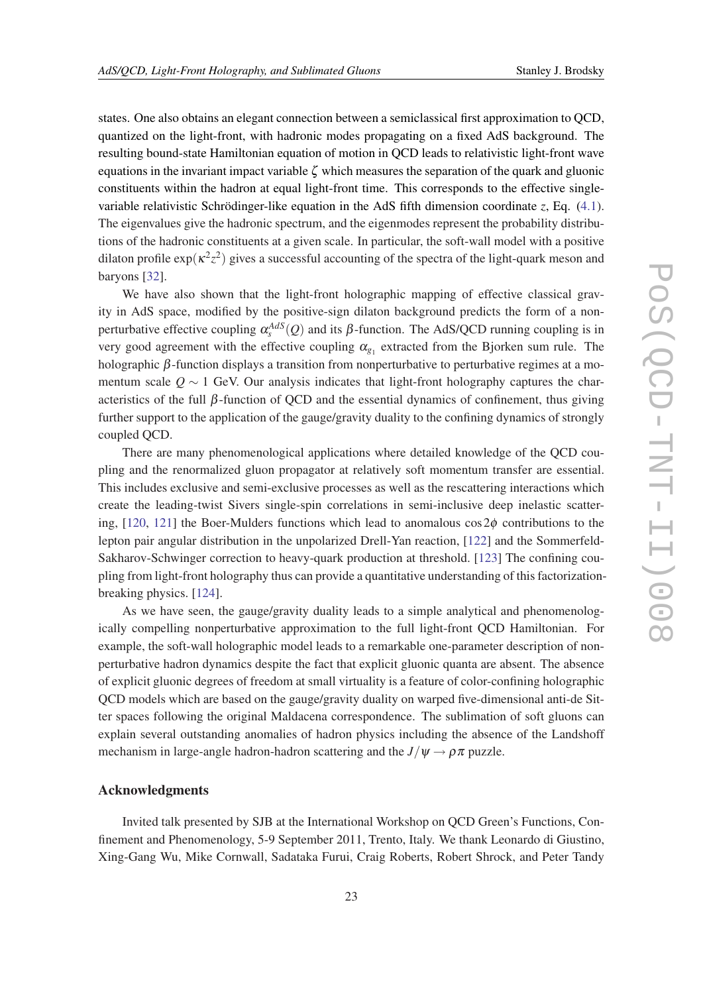states. One also obtains an elegant connection between a semiclassical first approximation to QCD, quantized on the light-front, with hadronic modes propagating on a fixed AdS background. The resulting bound-state Hamiltonian equation of motion in QCD leads to relativistic light-front wave equations in the invariant impact variable  $\zeta$  which measures the separation of the quark and gluonic constituents within the hadron at equal light-front time. This corresponds to the effective singlevariable relativistic Schrödinger-like equation in the AdS fifth dimension coordinate *z*, Eq. ([4.1\)](#page-5-0). The eigenvalues give the hadronic spectrum, and the eigenmodes represent the probability distributions of the hadronic constituents at a given scale. In particular, the soft-wall model with a positive dilaton profile  $\exp(\kappa^2 z^2)$  gives a successful accounting of the spectra of the light-quark meson and baryons [\[32](#page-24-0)].

We have also shown that the light-front holographic mapping of effective classical gravity in AdS space, modified by the positive-sign dilaton background predicts the form of a nonperturbative effective coupling  $\alpha_s^{AdS}(Q)$  and its  $\beta$ -function. The AdS/QCD running coupling is in very good agreement with the effective coupling  $\alpha_{g_1}$  extracted from the Bjorken sum rule. The holographic  $\beta$ -function displays a transition from nonperturbative to perturbative regimes at a momentum scale  $Q \sim 1$  GeV. Our analysis indicates that light-front holography captures the characteristics of the full  $\beta$ -function of QCD and the essential dynamics of confinement, thus giving further support to the application of the gauge/gravity duality to the confining dynamics of strongly coupled QCD.

There are many phenomenological applications where detailed knowledge of the QCD coupling and the renormalized gluon propagator at relatively soft momentum transfer are essential. This includes exclusive and semi-exclusive processes as well as the rescattering interactions which create the leading-twist Sivers single-spin correlations in semi-inclusive deep inelastic scatter-ing, [\[120,](#page-27-0) [121](#page-27-0)] the Boer-Mulders functions which lead to anomalous  $\cos 2\phi$  contributions to the lepton pair angular distribution in the unpolarized Drell-Yan reaction, [\[122](#page-27-0)] and the Sommerfeld-Sakharov-Schwinger correction to heavy-quark production at threshold. [\[123\]](#page-27-0) The confining coupling from light-front holography thus can provide a quantitative understanding of this factorizationbreaking physics. [[124](#page-27-0)].

As we have seen, the gauge/gravity duality leads to a simple analytical and phenomenologically compelling nonperturbative approximation to the full light-front QCD Hamiltonian. For example, the soft-wall holographic model leads to a remarkable one-parameter description of nonperturbative hadron dynamics despite the fact that explicit gluonic quanta are absent. The absence of explicit gluonic degrees of freedom at small virtuality is a feature of color-confining holographic QCD models which are based on the gauge/gravity duality on warped five-dimensional anti-de Sitter spaces following the original Maldacena correspondence. The sublimation of soft gluons can explain several outstanding anomalies of hadron physics including the absence of the Landshoff mechanism in large-angle hadron-hadron scattering and the  $J/\psi \rightarrow \rho \pi$  puzzle.

### Acknowledgments

Invited talk presented by SJB at the International Workshop on QCD Green's Functions, Confinement and Phenomenology, 5-9 September 2011, Trento, Italy. We thank Leonardo di Giustino, Xing-Gang Wu, Mike Cornwall, Sadataka Furui, Craig Roberts, Robert Shrock, and Peter Tandy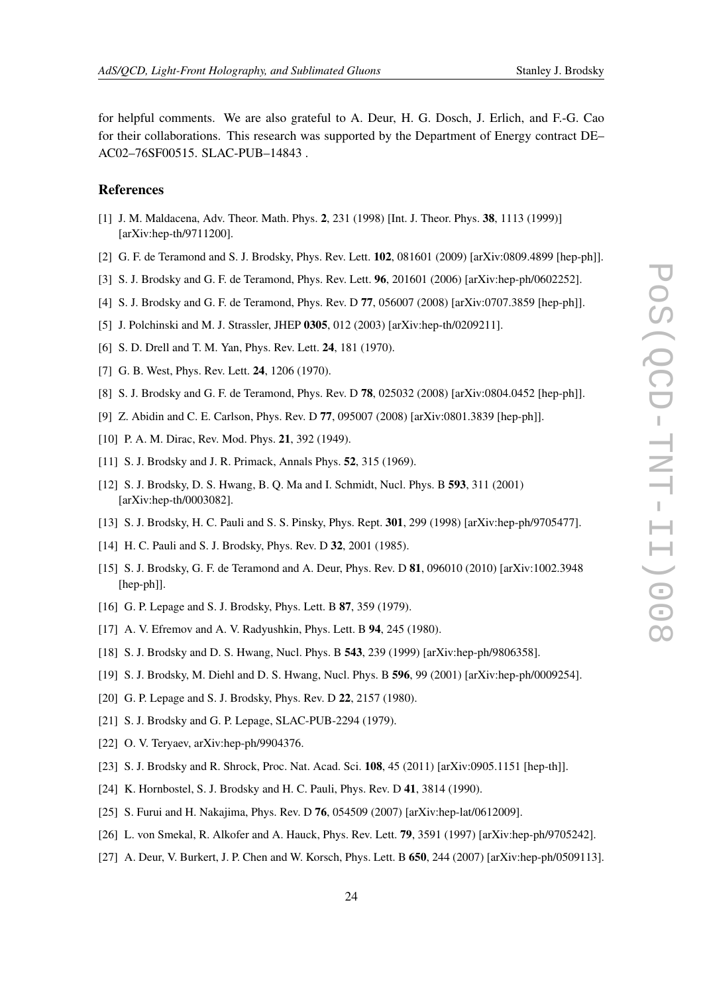<span id="page-23-0"></span>for helpful comments. We are also grateful to A. Deur, H. G. Dosch, J. Erlich, and F.-G. Cao for their collaborations. This research was supported by the Department of Energy contract DE– AC02–76SF00515. SLAC-PUB–14843 .

# References

- [1] J. M. Maldacena, Adv. Theor. Math. Phys. 2, 231 (1998) [Int. J. Theor. Phys. 38, 1113 (1999)] [arXiv:hep-th/9711200].
- [2] G. F. de Teramond and S. J. Brodsky, Phys. Rev. Lett. **102**, 081601 (2009) [arXiv:0809.4899 [hep-ph]].
- [3] S. J. Brodsky and G. F. de Teramond, Phys. Rev. Lett. 96, 201601 (2006) [arXiv:hep-ph/0602252].
- [4] S. J. Brodsky and G. F. de Teramond, Phys. Rev. D 77, 056007 (2008) [arXiv:0707.3859 [hep-ph]].
- [5] J. Polchinski and M. J. Strassler, JHEP 0305, 012 (2003) [arXiv:hep-th/0209211].
- [6] S. D. Drell and T. M. Yan, Phys. Rev. Lett. 24, 181 (1970).
- [7] G. B. West, Phys. Rev. Lett. **24**, 1206 (1970).
- [8] S. J. Brodsky and G. F. de Teramond, Phys. Rev. D 78, 025032 (2008) [arXiv:0804.0452 [hep-ph]].
- [9] Z. Abidin and C. E. Carlson, Phys. Rev. D 77, 095007 (2008) [arXiv:0801.3839 [hep-ph]].
- [10] P. A. M. Dirac, Rev. Mod. Phys. 21, 392 (1949).
- [11] S. J. Brodsky and J. R. Primack, Annals Phys. **52**, 315 (1969).
- [12] S. J. Brodsky, D. S. Hwang, B. Q. Ma and I. Schmidt, Nucl. Phys. B 593, 311 (2001) [arXiv:hep-th/0003082].
- [13] S. J. Brodsky, H. C. Pauli and S. S. Pinsky, Phys. Rept. 301, 299 (1998) [arXiv:hep-ph/9705477].
- [14] H. C. Pauli and S. J. Brodsky, Phys. Rev. D 32, 2001 (1985).
- [15] S. J. Brodsky, G. F. de Teramond and A. Deur, Phys. Rev. D 81, 096010 (2010) [arXiv:1002.3948 [hep-ph]].
- [16] G. P. Lepage and S. J. Brodsky, Phys. Lett. B 87, 359 (1979).
- [17] A. V. Efremov and A. V. Radyushkin, Phys. Lett. B 94, 245 (1980).
- [18] S. J. Brodsky and D. S. Hwang, Nucl. Phys. B 543, 239 (1999) [arXiv:hep-ph/9806358].
- [19] S. J. Brodsky, M. Diehl and D. S. Hwang, Nucl. Phys. B 596, 99 (2001) [arXiv:hep-ph/0009254].
- [20] G. P. Lepage and S. J. Brodsky, Phys. Rev. D 22, 2157 (1980).
- [21] S. J. Brodsky and G. P. Lepage, SLAC-PUB-2294 (1979).
- [22] O. V. Teryaev, arXiv:hep-ph/9904376.
- [23] S. J. Brodsky and R. Shrock, Proc. Nat. Acad. Sci. 108, 45 (2011) [arXiv:0905.1151 [hep-th]].
- [24] K. Hornbostel, S. J. Brodsky and H. C. Pauli, Phys. Rev. D 41, 3814 (1990).
- [25] S. Furui and H. Nakajima, Phys. Rev. D 76, 054509 (2007) [arXiv:hep-lat/0612009].
- [26] L. von Smekal, R. Alkofer and A. Hauck, Phys. Rev. Lett. 79, 3591 (1997) [arXiv:hep-ph/9705242].
- [27] A. Deur, V. Burkert, J. P. Chen and W. Korsch, Phys. Lett. B 650, 244 (2007) [arXiv:hep-ph/0509113].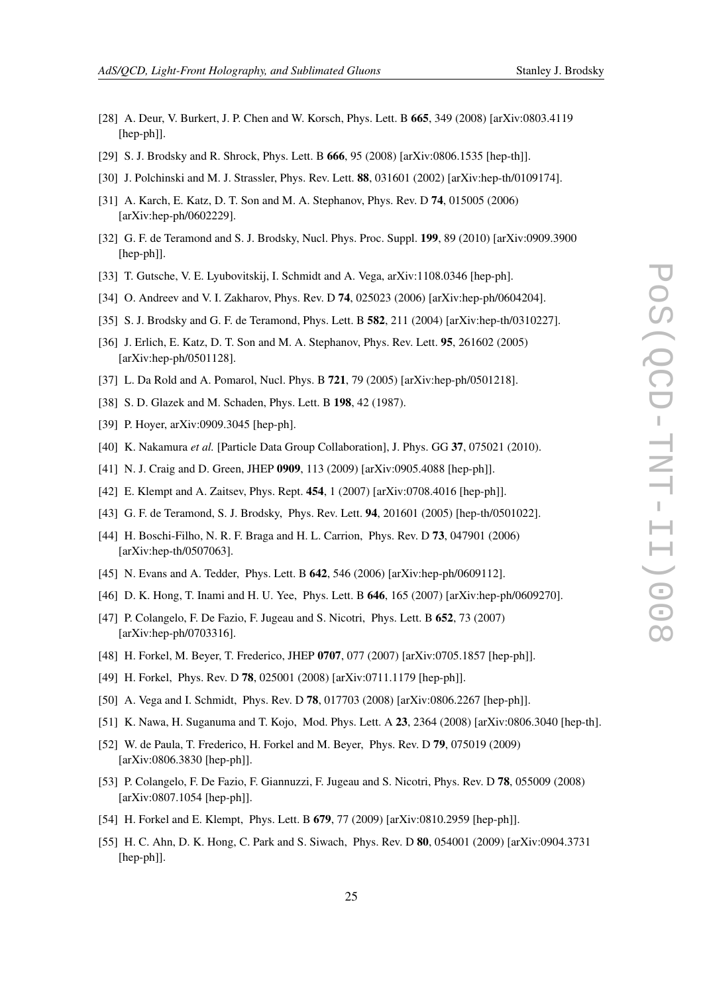- <span id="page-24-0"></span>[28] A. Deur, V. Burkert, J. P. Chen and W. Korsch, Phys. Lett. B 665, 349 (2008) [arXiv:0803.4119 [hep-ph]].
- [29] S. J. Brodsky and R. Shrock, Phys. Lett. B **666**, 95 (2008) [arXiv:0806.1535 [hep-th]].
- [30] J. Polchinski and M. J. Strassler, Phys. Rev. Lett. **88**, 031601 (2002) [arXiv:hep-th/0109174].
- [31] A. Karch, E. Katz, D. T. Son and M. A. Stephanov, Phys. Rev. D 74, 015005 (2006) [arXiv:hep-ph/0602229].
- [32] G. F. de Teramond and S. J. Brodsky, Nucl. Phys. Proc. Suppl. 199, 89 (2010) [arXiv:0909.3900 [hep-ph]].
- [33] T. Gutsche, V. E. Lyubovitskij, I. Schmidt and A. Vega, arXiv:1108.0346 [hep-ph].
- [34] O. Andreev and V. I. Zakharov, Phys. Rev. D **74**, 025023 (2006) [arXiv:hep-ph/0604204].
- [35] S. J. Brodsky and G. F. de Teramond, Phys. Lett. B **582**, 211 (2004) [arXiv:hep-th/0310227].
- [36] J. Erlich, E. Katz, D. T. Son and M. A. Stephanov, Phys. Rev. Lett. **95**, 261602 (2005) [arXiv:hep-ph/0501128].
- [37] L. Da Rold and A. Pomarol, Nucl. Phys. B 721, 79 (2005) [arXiv:hep-ph/0501218].
- [38] S. D. Glazek and M. Schaden, Phys. Lett. B 198, 42 (1987).
- [39] P. Hoyer, arXiv:0909.3045 [hep-ph].
- [40] K. Nakamura *et al.* [Particle Data Group Collaboration], J. Phys. GG 37, 075021 (2010).
- [41] N. J. Craig and D. Green, JHEP 0909, 113 (2009) [arXiv:0905.4088 [hep-ph]].
- [42] E. Klempt and A. Zaitsev, Phys. Rept. **454**, 1 (2007) [arXiv:0708.4016 [hep-ph]].
- [43] G. F. de Teramond, S. J. Brodsky, Phys. Rev. Lett. 94, 201601 (2005) [hep-th/0501022].
- [44] H. Boschi-Filho, N. R. F. Braga and H. L. Carrion, Phys. Rev. D 73, 047901 (2006) [arXiv:hep-th/0507063].
- [45] N. Evans and A. Tedder, Phys. Lett. B **642**, 546 (2006) [arXiv:hep-ph/0609112].
- [46] D. K. Hong, T. Inami and H. U. Yee, Phys. Lett. B 646, 165 (2007) [arXiv:hep-ph/0609270].
- [47] P. Colangelo, F. De Fazio, F. Jugeau and S. Nicotri, Phys. Lett. B **652**, 73 (2007) [arXiv:hep-ph/0703316].
- [48] H. Forkel, M. Beyer, T. Frederico, JHEP 0707, 077 (2007) [arXiv:0705.1857 [hep-ph]].
- [49] H. Forkel, Phys. Rev. D 78, 025001 (2008) [arXiv:0711.1179 [hep-ph]].
- [50] A. Vega and I. Schmidt, Phys. Rev. D **78**, 017703 (2008) [arXiv:0806.2267 [hep-ph]].
- [51] K. Nawa, H. Suganuma and T. Kojo, Mod. Phys. Lett. A 23, 2364 (2008) [arXiv:0806.3040 [hep-th].
- [52] W. de Paula, T. Frederico, H. Forkel and M. Beyer, Phys. Rev. D 79, 075019 (2009) [arXiv:0806.3830 [hep-ph]].
- [53] P. Colangelo, F. De Fazio, F. Giannuzzi, F. Jugeau and S. Nicotri, Phys. Rev. D 78, 055009 (2008) [arXiv:0807.1054 [hep-ph]].
- [54] H. Forkel and E. Klempt, Phys. Lett. B 679, 77 (2009) [arXiv:0810.2959 [hep-ph]].
- [55] H. C. Ahn, D. K. Hong, C. Park and S. Siwach, Phys. Rev. D 80, 054001 (2009) [arXiv:0904.3731 [hep-ph]].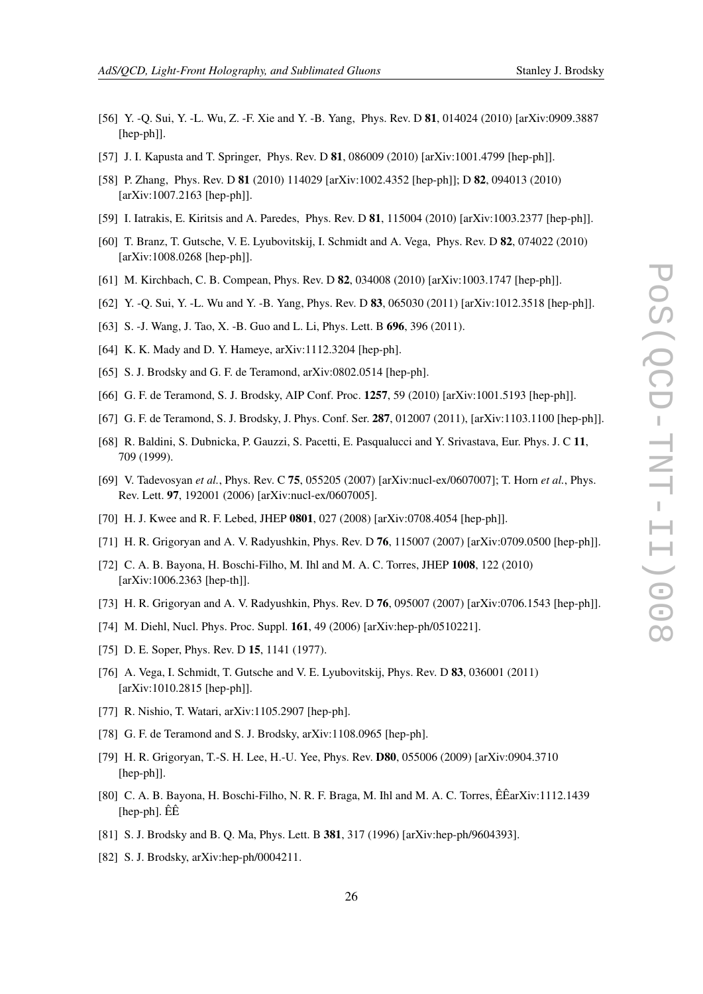- <span id="page-25-0"></span>[56] Y. -Q. Sui, Y. -L. Wu, Z. -F. Xie and Y. -B. Yang, Phys. Rev. D 81, 014024 (2010) [arXiv:0909.3887 [hep-ph]].
- [57] J. I. Kapusta and T. Springer, Phys. Rev. D **81**, 086009 (2010) [arXiv:1001.4799 [hep-ph]].
- [58] P. Zhang, Phys. Rev. D **81** (2010) 114029 [arXiv:1002.4352 [hep-ph]]; D **82**, 094013 (2010) [arXiv:1007.2163 [hep-ph]].
- [59] I. Iatrakis, E. Kiritsis and A. Paredes, Phys. Rev. D 81, 115004 (2010) [arXiv:1003.2377 [hep-ph]].
- [60] T. Branz, T. Gutsche, V. E. Lyubovitskij, I. Schmidt and A. Vega, Phys. Rev. D 82, 074022 (2010) [arXiv:1008.0268 [hep-ph]].
- [61] M. Kirchbach, C. B. Compean, Phys. Rev. D 82, 034008 (2010) [arXiv:1003.1747 [hep-ph]].
- [62] Y. -Q. Sui, Y. -L. Wu and Y. -B. Yang, Phys. Rev. D 83, 065030 (2011) [arXiv:1012.3518 [hep-ph]].
- [63] S. -J. Wang, J. Tao, X. -B. Guo and L. Li, Phys. Lett. B **696**, 396 (2011).
- [64] K. K. Mady and D. Y. Hameye, arXiv:1112.3204 [hep-ph].
- [65] S. J. Brodsky and G. F. de Teramond, arXiv:0802.0514 [hep-ph].
- [66] G. F. de Teramond, S. J. Brodsky, AIP Conf. Proc. 1257, 59 (2010) [arXiv:1001.5193 [hep-ph]].
- [67] G. F. de Teramond, S. J. Brodsky, J. Phys. Conf. Ser. 287, 012007 (2011), [arXiv:1103.1100 [hep-ph]].
- [68] R. Baldini, S. Dubnicka, P. Gauzzi, S. Pacetti, E. Pasqualucci and Y. Srivastava, Eur. Phys. J. C 11, 709 (1999).
- [69] V. Tadevosyan *et al.*, Phys. Rev. C 75, 055205 (2007) [arXiv:nucl-ex/0607007]; T. Horn *et al.*, Phys. Rev. Lett. 97, 192001 (2006) [arXiv:nucl-ex/0607005].
- [70] H. J. Kwee and R. F. Lebed, JHEP 0801, 027 (2008) [arXiv:0708.4054 [hep-ph]].
- [71] H. R. Grigoryan and A. V. Radyushkin, Phys. Rev. D 76, 115007 (2007) [arXiv:0709.0500 [hep-ph]].
- [72] C. A. B. Bayona, H. Boschi-Filho, M. Ihl and M. A. C. Torres, JHEP 1008, 122 (2010) [arXiv:1006.2363 [hep-th]].
- [73] H. R. Grigoryan and A. V. Radyushkin, Phys. Rev. D 76, 095007 (2007) [arXiv:0706.1543 [hep-ph]].
- [74] M. Diehl, Nucl. Phys. Proc. Suppl. **161**, 49 (2006) [arXiv:hep-ph/0510221].
- [75] D. E. Soper, Phys. Rev. D **15**, 1141 (1977).
- [76] A. Vega, I. Schmidt, T. Gutsche and V. E. Lyubovitskij, Phys. Rev. D 83, 036001 (2011) [arXiv:1010.2815 [hep-ph]].
- [77] R. Nishio, T. Watari, arXiv:1105.2907 [hep-ph].
- [78] G. F. de Teramond and S. J. Brodsky, arXiv:1108.0965 [hep-ph].
- [79] H. R. Grigoryan, T.-S. H. Lee, H.-U. Yee, Phys. Rev. D80, 055006 (2009) [arXiv:0904.3710 [hep-ph]].
- [80] C. A. B. Bayona, H. Boschi-Filho, N. R. F. Braga, M. Ihl and M. A. C. Torres, ÊÊarXiv:1112.1439 [hep-ph]. ÊÊ
- [81] S. J. Brodsky and B. Q. Ma, Phys. Lett. B 381, 317 (1996) [arXiv:hep-ph/9604393].
- [82] S. J. Brodsky, arXiv:hep-ph/0004211.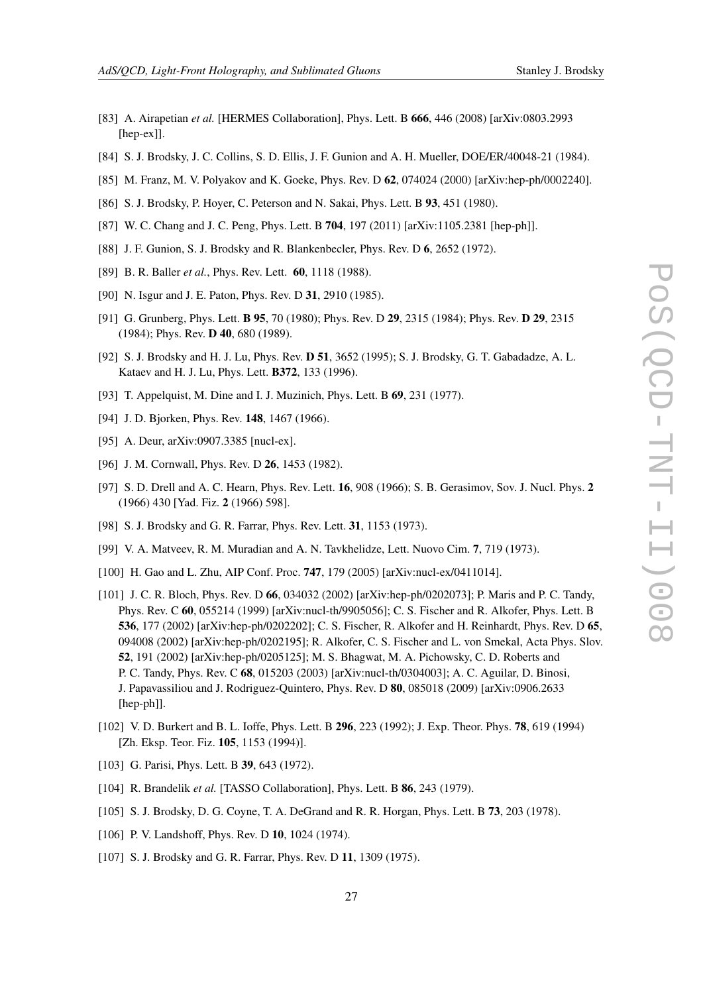- 
- <span id="page-26-0"></span>[83] A. Airapetian *et al.* [HERMES Collaboration], Phys. Lett. B 666, 446 (2008) [arXiv:0803.2993 [hep-ex]].
- [84] S. J. Brodsky, J. C. Collins, S. D. Ellis, J. F. Gunion and A. H. Mueller, DOE/ER/40048-21 (1984).
- [85] M. Franz, M. V. Polyakov and K. Goeke, Phys. Rev. D 62, 074024 (2000) [arXiv:hep-ph/0002240].
- [86] S. J. Brodsky, P. Hoyer, C. Peterson and N. Sakai, Phys. Lett. B 93, 451 (1980).
- [87] W. C. Chang and J. C. Peng, Phys. Lett. B 704, 197 (2011) [arXiv:1105.2381 [hep-ph]].
- [88] J. F. Gunion, S. J. Brodsky and R. Blankenbecler, Phys. Rev. D 6, 2652 (1972).
- [89] B. R. Baller *et al.*, Phys. Rev. Lett. 60, 1118 (1988).
- [90] N. Isgur and J. E. Paton, Phys. Rev. D 31, 2910 (1985).
- [91] G. Grunberg, Phys. Lett. B 95, 70 (1980); Phys. Rev. D 29, 2315 (1984); Phys. Rev. D 29, 2315 (1984); Phys. Rev. D 40, 680 (1989).
- [92] S. J. Brodsky and H. J. Lu, Phys. Rev. D 51, 3652 (1995); S. J. Brodsky, G. T. Gabadadze, A. L. Kataev and H. J. Lu, Phys. Lett. B372, 133 (1996).
- [93] T. Appelquist, M. Dine and I. J. Muzinich, Phys. Lett. B 69, 231 (1977).
- [94] J. D. Bjorken, Phys. Rev. 148, 1467 (1966).
- [95] A. Deur, arXiv:0907.3385 [nucl-ex].
- [96] J. M. Cornwall, Phys. Rev. D **26**, 1453 (1982).
- [97] S. D. Drell and A. C. Hearn, Phys. Rev. Lett. 16, 908 (1966); S. B. Gerasimov, Sov. J. Nucl. Phys. 2 (1966) 430 [Yad. Fiz. 2 (1966) 598].
- [98] S. J. Brodsky and G. R. Farrar, Phys. Rev. Lett. 31, 1153 (1973).
- [99] V. A. Matveev, R. M. Muradian and A. N. Tavkhelidze, Lett. Nuovo Cim. 7, 719 (1973).
- [100] H. Gao and L. Zhu, AIP Conf. Proc. **747**, 179 (2005) [arXiv:nucl-ex/0411014].
- [101] J. C. R. Bloch, Phys. Rev. D 66, 034032 (2002) [arXiv:hep-ph/0202073]; P. Maris and P. C. Tandy, Phys. Rev. C 60, 055214 (1999) [arXiv:nucl-th/9905056]; C. S. Fischer and R. Alkofer, Phys. Lett. B 536, 177 (2002) [arXiv:hep-ph/0202202]; C. S. Fischer, R. Alkofer and H. Reinhardt, Phys. Rev. D 65, 094008 (2002) [arXiv:hep-ph/0202195]; R. Alkofer, C. S. Fischer and L. von Smekal, Acta Phys. Slov. 52, 191 (2002) [arXiv:hep-ph/0205125]; M. S. Bhagwat, M. A. Pichowsky, C. D. Roberts and P. C. Tandy, Phys. Rev. C 68, 015203 (2003) [arXiv:nucl-th/0304003]; A. C. Aguilar, D. Binosi, J. Papavassiliou and J. Rodriguez-Quintero, Phys. Rev. D 80, 085018 (2009) [arXiv:0906.2633 [hep-ph]].
- [102] V. D. Burkert and B. L. Ioffe, Phys. Lett. B 296, 223 (1992); J. Exp. Theor. Phys. **78**, 619 (1994) [Zh. Eksp. Teor. Fiz. 105, 1153 (1994)].
- [103] G. Parisi, Phys. Lett. B 39, 643 (1972).
- [104] R. Brandelik *et al.* [TASSO Collaboration], Phys. Lett. B **86**, 243 (1979).
- [105] S. J. Brodsky, D. G. Coyne, T. A. DeGrand and R. R. Horgan, Phys. Lett. B 73, 203 (1978).
- [106] P. V. Landshoff, Phys. Rev. D 10, 1024 (1974).
- [107] S. J. Brodsky and G. R. Farrar, Phys. Rev. D 11, 1309 (1975).